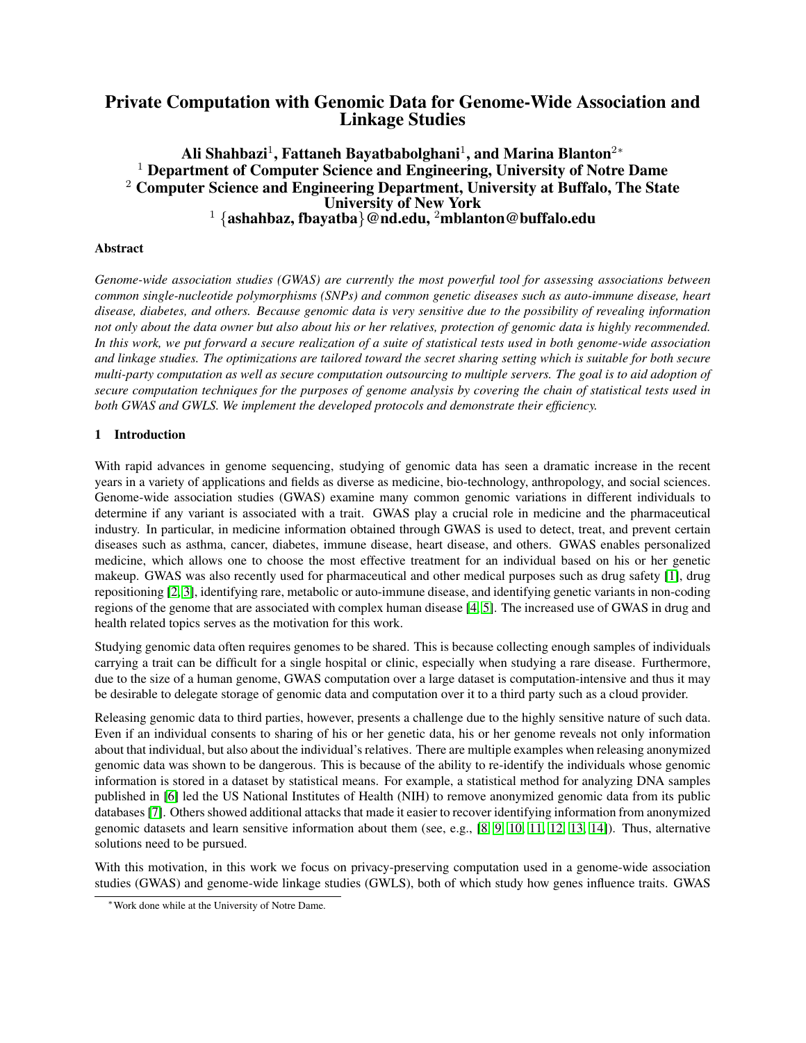# Private Computation with Genomic Data for Genome-Wide Association and Linkage Studies

# Ali Shahbazi $^1$ , Fattaneh Bayatbabolghani $^1$ , and Marina Blanton $^{2\ast}$  $1$  Department of Computer Science and Engineering, University of Notre Dame <sup>2</sup> Computer Science and Engineering Department, University at Buffalo, The State University of New York  $1 \ \{ash$ ashahbaz, fbayatba $\}$ @nd.edu,  $^2$ mblanton@buffalo.edu

# Abstract

*Genome-wide association studies (GWAS) are currently the most powerful tool for assessing associations between common single-nucleotide polymorphisms (SNPs) and common genetic diseases such as auto-immune disease, heart disease, diabetes, and others. Because genomic data is very sensitive due to the possibility of revealing information not only about the data owner but also about his or her relatives, protection of genomic data is highly recommended. In this work, we put forward a secure realization of a suite of statistical tests used in both genome-wide association and linkage studies. The optimizations are tailored toward the secret sharing setting which is suitable for both secure multi-party computation as well as secure computation outsourcing to multiple servers. The goal is to aid adoption of secure computation techniques for the purposes of genome analysis by covering the chain of statistical tests used in both GWAS and GWLS. We implement the developed protocols and demonstrate their efficiency.*

# 1 Introduction

With rapid advances in genome sequencing, studying of genomic data has seen a dramatic increase in the recent years in a variety of applications and fields as diverse as medicine, bio-technology, anthropology, and social sciences. Genome-wide association studies (GWAS) examine many common genomic variations in different individuals to determine if any variant is associated with a trait. GWAS play a crucial role in medicine and the pharmaceutical industry. In particular, in medicine information obtained through GWAS is used to detect, treat, and prevent certain diseases such as asthma, cancer, diabetes, immune disease, heart disease, and others. GWAS enables personalized medicine, which allows one to choose the most effective treatment for an individual based on his or her genetic makeup. GWAS was also recently used for pharmaceutical and other medical purposes such as drug safety [\[1\]](#page-13-0), drug repositioning [\[2,](#page-13-1) [3\]](#page-13-2), identifying rare, metabolic or auto-immune disease, and identifying genetic variants in non-coding regions of the genome that are associated with complex human disease [\[4,](#page-13-3) [5\]](#page-13-4). The increased use of GWAS in drug and health related topics serves as the motivation for this work.

Studying genomic data often requires genomes to be shared. This is because collecting enough samples of individuals carrying a trait can be difficult for a single hospital or clinic, especially when studying a rare disease. Furthermore, due to the size of a human genome, GWAS computation over a large dataset is computation-intensive and thus it may be desirable to delegate storage of genomic data and computation over it to a third party such as a cloud provider.

Releasing genomic data to third parties, however, presents a challenge due to the highly sensitive nature of such data. Even if an individual consents to sharing of his or her genetic data, his or her genome reveals not only information about that individual, but also about the individual's relatives. There are multiple examples when releasing anonymized genomic data was shown to be dangerous. This is because of the ability to re-identify the individuals whose genomic information is stored in a dataset by statistical means. For example, a statistical method for analyzing DNA samples published in [\[6\]](#page-13-5) led the US National Institutes of Health (NIH) to remove anonymized genomic data from its public databases [\[7\]](#page-13-6). Others showed additional attacks that made it easier to recover identifying information from anonymized genomic datasets and learn sensitive information about them (see, e.g.,  $[8, 9, 10, 11, 12, 13, 14]$  $[8, 9, 10, 11, 12, 13, 14]$  $[8, 9, 10, 11, 12, 13, 14]$  $[8, 9, 10, 11, 12, 13, 14]$  $[8, 9, 10, 11, 12, 13, 14]$  $[8, 9, 10, 11, 12, 13, 14]$  $[8, 9, 10, 11, 12, 13, 14]$ ). Thus, alternative solutions need to be pursued.

With this motivation, in this work we focus on privacy-preserving computation used in a genome-wide association studies (GWAS) and genome-wide linkage studies (GWLS), both of which study how genes influence traits. GWAS

<sup>∗</sup>Work done while at the University of Notre Dame.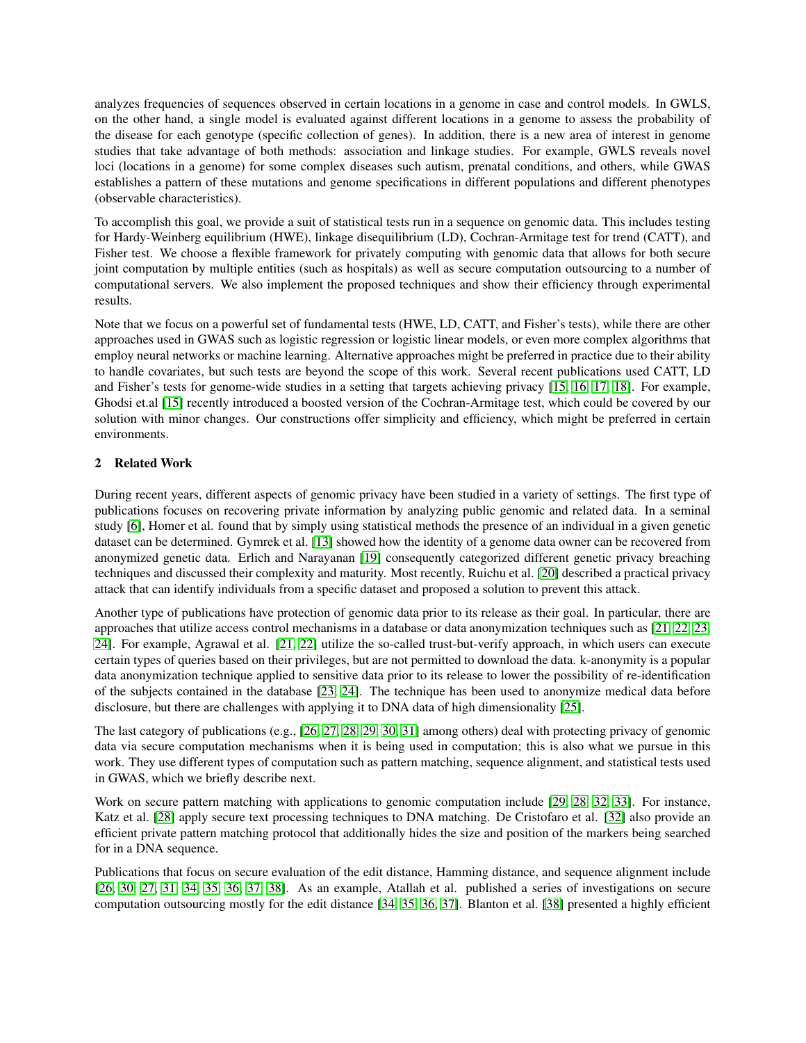analyzes frequencies of sequences observed in certain locations in a genome in case and control models. In GWLS, on the other hand, a single model is evaluated against different locations in a genome to assess the probability of the disease for each genotype (specific collection of genes). In addition, there is a new area of interest in genome studies that take advantage of both methods: association and linkage studies. For example, GWLS reveals novel loci (locations in a genome) for some complex diseases such autism, prenatal conditions, and others, while GWAS establishes a pattern of these mutations and genome specifications in different populations and different phenotypes (observable characteristics).

To accomplish this goal, we provide a suit of statistical tests run in a sequence on genomic data. This includes testing for Hardy-Weinberg equilibrium (HWE), linkage disequilibrium (LD), Cochran-Armitage test for trend (CATT), and Fisher test. We choose a flexible framework for privately computing with genomic data that allows for both secure joint computation by multiple entities (such as hospitals) as well as secure computation outsourcing to a number of computational servers. We also implement the proposed techniques and show their efficiency through experimental results.

Note that we focus on a powerful set of fundamental tests (HWE, LD, CATT, and Fisher's tests), while there are other approaches used in GWAS such as logistic regression or logistic linear models, or even more complex algorithms that employ neural networks or machine learning. Alternative approaches might be preferred in practice due to their ability to handle covariates, but such tests are beyond the scope of this work. Several recent publications used CATT, LD and Fisher's tests for genome-wide studies in a setting that targets achieving privacy [\[15,](#page-13-14) [16,](#page-13-15) [17,](#page-14-0) [18\]](#page-14-1). For example, Ghodsi et.al [\[15\]](#page-13-14) recently introduced a boosted version of the Cochran-Armitage test, which could be covered by our solution with minor changes. Our constructions offer simplicity and efficiency, which might be preferred in certain environments.

# 2 Related Work

During recent years, different aspects of genomic privacy have been studied in a variety of settings. The first type of publications focuses on recovering private information by analyzing public genomic and related data. In a seminal study [\[6\]](#page-13-5), Homer et al. found that by simply using statistical methods the presence of an individual in a given genetic dataset can be determined. Gymrek et al. [\[13\]](#page-13-12) showed how the identity of a genome data owner can be recovered from anonymized genetic data. Erlich and Narayanan [\[19\]](#page-14-2) consequently categorized different genetic privacy breaching techniques and discussed their complexity and maturity. Most recently, Ruichu et al. [\[20\]](#page-14-3) described a practical privacy attack that can identify individuals from a specific dataset and proposed a solution to prevent this attack.

Another type of publications have protection of genomic data prior to its release as their goal. In particular, there are approaches that utilize access control mechanisms in a database or data anonymization techniques such as [\[21,](#page-14-4) [22,](#page-14-5) [23,](#page-14-6) [24\]](#page-14-7). For example, Agrawal et al. [\[21,](#page-14-4) [22\]](#page-14-5) utilize the so-called trust-but-verify approach, in which users can execute certain types of queries based on their privileges, but are not permitted to download the data. k-anonymity is a popular data anonymization technique applied to sensitive data prior to its release to lower the possibility of re-identification of the subjects contained in the database [\[23,](#page-14-6) [24\]](#page-14-7). The technique has been used to anonymize medical data before disclosure, but there are challenges with applying it to DNA data of high dimensionality [\[25\]](#page-14-8).

The last category of publications (e.g., [\[26,](#page-14-9) [27,](#page-14-10) [28,](#page-14-11) [29,](#page-14-12) [30,](#page-14-13) [31\]](#page-14-14) among others) deal with protecting privacy of genomic data via secure computation mechanisms when it is being used in computation; this is also what we pursue in this work. They use different types of computation such as pattern matching, sequence alignment, and statistical tests used in GWAS, which we briefly describe next.

Work on secure pattern matching with applications to genomic computation include [\[29,](#page-14-12) [28,](#page-14-11) [32,](#page-14-15) [33\]](#page-14-16). For instance, Katz et al. [\[28\]](#page-14-11) apply secure text processing techniques to DNA matching. De Cristofaro et al. [\[32\]](#page-14-15) also provide an efficient private pattern matching protocol that additionally hides the size and position of the markers being searched for in a DNA sequence.

Publications that focus on secure evaluation of the edit distance, Hamming distance, and sequence alignment include [\[26,](#page-14-9) [30,](#page-14-13) [27,](#page-14-10) [31,](#page-14-14) [34,](#page-14-17) [35,](#page-15-0) [36,](#page-15-1) [37,](#page-15-2) [38\]](#page-15-3). As an example, Atallah et al. published a series of investigations on secure computation outsourcing mostly for the edit distance [\[34,](#page-14-17) [35,](#page-15-0) [36,](#page-15-1) [37\]](#page-15-2). Blanton et al. [\[38\]](#page-15-3) presented a highly efficient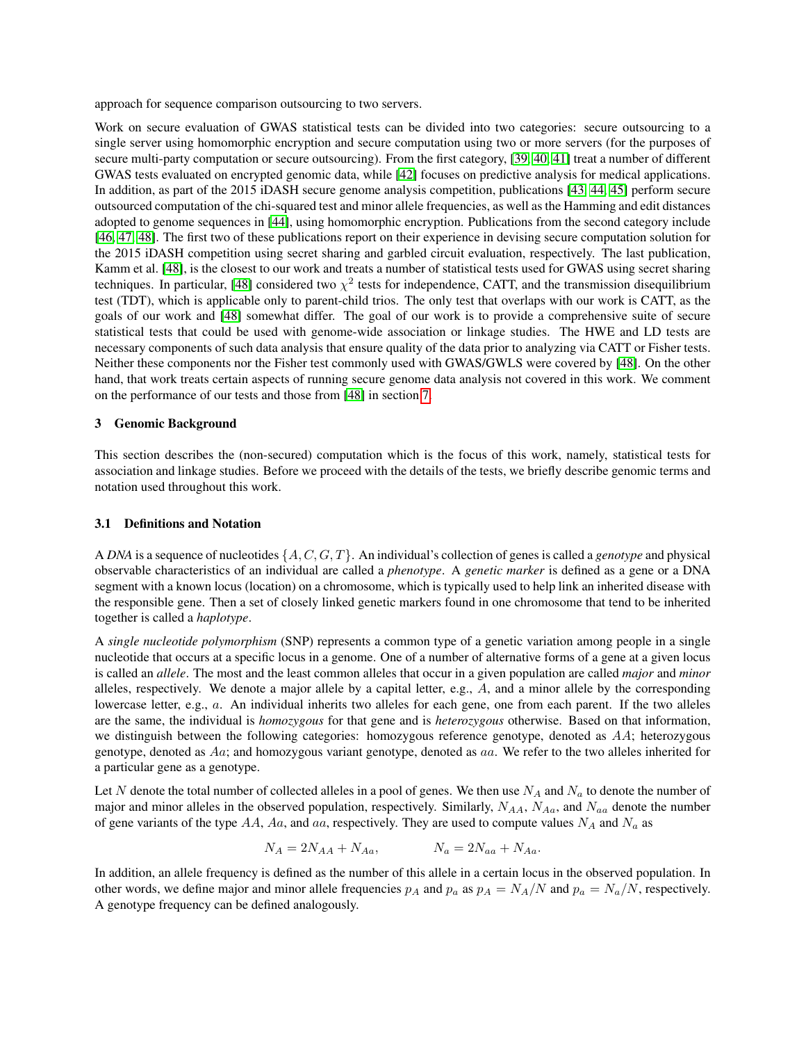approach for sequence comparison outsourcing to two servers.

Work on secure evaluation of GWAS statistical tests can be divided into two categories: secure outsourcing to a single server using homomorphic encryption and secure computation using two or more servers (for the purposes of secure multi-party computation or secure outsourcing). From the first category, [\[39,](#page-15-4) [40,](#page-15-5) [41\]](#page-15-6) treat a number of different GWAS tests evaluated on encrypted genomic data, while [\[42\]](#page-15-7) focuses on predictive analysis for medical applications. In addition, as part of the 2015 iDASH secure genome analysis competition, publications [\[43,](#page-15-8) [44,](#page-15-9) [45\]](#page-15-10) perform secure outsourced computation of the chi-squared test and minor allele frequencies, as well as the Hamming and edit distances adopted to genome sequences in [\[44\]](#page-15-9), using homomorphic encryption. Publications from the second category include [\[46,](#page-15-11) [47,](#page-15-12) [48\]](#page-15-13). The first two of these publications report on their experience in devising secure computation solution for the 2015 iDASH competition using secret sharing and garbled circuit evaluation, respectively. The last publication, Kamm et al. [\[48\]](#page-15-13), is the closest to our work and treats a number of statistical tests used for GWAS using secret sharing techniques. In particular, [\[48\]](#page-15-13) considered two  $\chi^2$  tests for independence, CATT, and the transmission disequilibrium test (TDT), which is applicable only to parent-child trios. The only test that overlaps with our work is CATT, as the goals of our work and [\[48\]](#page-15-13) somewhat differ. The goal of our work is to provide a comprehensive suite of secure statistical tests that could be used with genome-wide association or linkage studies. The HWE and LD tests are necessary components of such data analysis that ensure quality of the data prior to analyzing via CATT or Fisher tests. Neither these components nor the Fisher test commonly used with GWAS/GWLS were covered by [\[48\]](#page-15-13). On the other hand, that work treats certain aspects of running secure genome data analysis not covered in this work. We comment on the performance of our tests and those from [\[48\]](#page-15-13) in section [7.](#page-11-0)

#### <span id="page-2-0"></span>3 Genomic Background

This section describes the (non-secured) computation which is the focus of this work, namely, statistical tests for association and linkage studies. Before we proceed with the details of the tests, we briefly describe genomic terms and notation used throughout this work.

#### <span id="page-2-1"></span>3.1 Definitions and Notation

A *DNA* is a sequence of nucleotides {A, C, G, T}. An individual's collection of genes is called a *genotype* and physical observable characteristics of an individual are called a *phenotype*. A *genetic marker* is defined as a gene or a DNA segment with a known locus (location) on a chromosome, which is typically used to help link an inherited disease with the responsible gene. Then a set of closely linked genetic markers found in one chromosome that tend to be inherited together is called a *haplotype*.

A *single nucleotide polymorphism* (SNP) represents a common type of a genetic variation among people in a single nucleotide that occurs at a specific locus in a genome. One of a number of alternative forms of a gene at a given locus is called an *allele*. The most and the least common alleles that occur in a given population are called *major* and *minor* alleles, respectively. We denote a major allele by a capital letter, e.g.,  $A$ , and a minor allele by the corresponding lowercase letter, e.g., a. An individual inherits two alleles for each gene, one from each parent. If the two alleles are the same, the individual is *homozygous* for that gene and is *heterozygous* otherwise. Based on that information, we distinguish between the following categories: homozygous reference genotype, denoted as AA; heterozygous genotype, denoted as Aa; and homozygous variant genotype, denoted as aa. We refer to the two alleles inherited for a particular gene as a genotype.

Let N denote the total number of collected alleles in a pool of genes. We then use  $N_A$  and  $N_a$  to denote the number of major and minor alleles in the observed population, respectively. Similarly,  $N_{AA}$ ,  $N_{Aa}$ , and  $N_{aa}$  denote the number of gene variants of the type AA, Aa, and aa, respectively. They are used to compute values  $N_A$  and  $N_a$  as

$$
N_A = 2N_{AA} + N_{Aa}, \qquad N_a = 2N_{aa} + N_{Aa}.
$$

In addition, an allele frequency is defined as the number of this allele in a certain locus in the observed population. In other words, we define major and minor allele frequencies  $p_A$  and  $p_a$  as  $p_A = N_A/N$  and  $p_a = N_a/N$ , respectively. A genotype frequency can be defined analogously.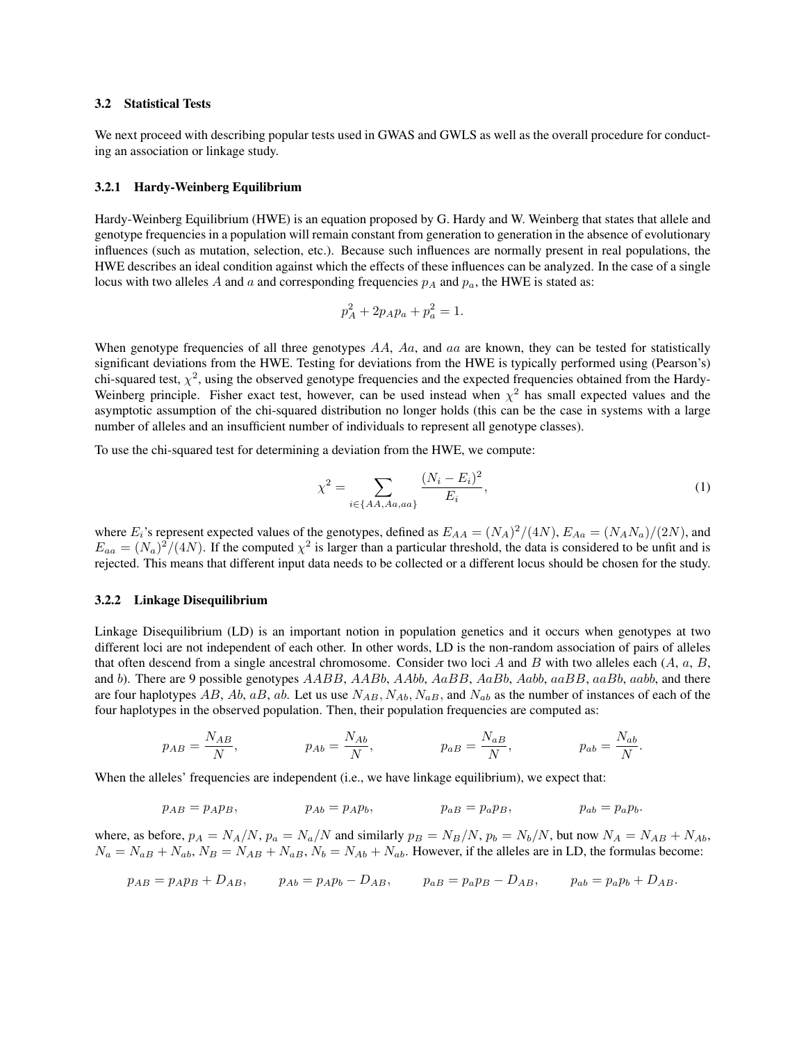#### 3.2 Statistical Tests

We next proceed with describing popular tests used in GWAS and GWLS as well as the overall procedure for conducting an association or linkage study.

#### 3.2.1 Hardy-Weinberg Equilibrium

Hardy-Weinberg Equilibrium (HWE) is an equation proposed by G. Hardy and W. Weinberg that states that allele and genotype frequencies in a population will remain constant from generation to generation in the absence of evolutionary influences (such as mutation, selection, etc.). Because such influences are normally present in real populations, the HWE describes an ideal condition against which the effects of these influences can be analyzed. In the case of a single locus with two alleles A and a and corresponding frequencies  $p_A$  and  $p_a$ , the HWE is stated as:

$$
p_A^2 + 2p_A p_a + p_a^2 = 1.
$$

When genotype frequencies of all three genotypes  $AA$ ,  $Aa$ , and  $aa$  are known, they can be tested for statistically significant deviations from the HWE. Testing for deviations from the HWE is typically performed using (Pearson's) chi-squared test,  $\chi^2$ , using the observed genotype frequencies and the expected frequencies obtained from the Hardy-Weinberg principle. Fisher exact test, however, can be used instead when  $\chi^2$  has small expected values and the asymptotic assumption of the chi-squared distribution no longer holds (this can be the case in systems with a large number of alleles and an insufficient number of individuals to represent all genotype classes).

To use the chi-squared test for determining a deviation from the HWE, we compute:

<span id="page-3-0"></span>
$$
\chi^2 = \sum_{i \in \{AA, Aa, aa\}} \frac{(N_i - E_i)^2}{E_i},\tag{1}
$$

where  $E_i$ 's represent expected values of the genotypes, defined as  $E_{AA} = (N_A)^2/(4N)$ ,  $E_{Aa} = (N_A N_a)/(2N)$ , and  $E_{aa} = (N_a)^2/(4N)$ . If the computed  $\chi^2$  is larger than a particular threshold, the data is considered to be unfit and is rejected. This means that different input data needs to be collected or a different locus should be chosen for the study.

#### <span id="page-3-1"></span>3.2.2 Linkage Disequilibrium

Linkage Disequilibrium (LD) is an important notion in population genetics and it occurs when genotypes at two different loci are not independent of each other. In other words, LD is the non-random association of pairs of alleles that often descend from a single ancestral chromosome. Consider two loci A and B with two alleles each  $(A, a, B, \mathcal{A})$ and b). There are 9 possible genotypes AABB, AABb, AAbb, AaBB, AaBb, Aabb, aaBB, aaBb, aabb, and there are four haplotypes AB, Ab, aB, ab. Let us use  $N_{AB}$ ,  $N_{Ab}$ ,  $N_{a}$ , and  $N_{ab}$  as the number of instances of each of the four haplotypes in the observed population. Then, their population frequencies are computed as:

$$
p_{AB} = \frac{N_{AB}}{N}, \qquad p_{Ab} = \frac{N_{Ab}}{N}, \qquad p_{aB} = \frac{N_{aB}}{N}, \qquad p_{ab} = \frac{N_{ab}}{N}.
$$

When the alleles' frequencies are independent (i.e., we have linkage equilibrium), we expect that:

$$
p_{AB} = p_A p_B, \qquad p_{Ab} = p_A p_b, \qquad p_{aB} = p_a p_B, \qquad p_{ab} = p_a p_b.
$$

where, as before,  $p_A = N_A/N$ ,  $p_a = N_a/N$  and similarly  $p_B = N_B/N$ ,  $p_b = N_b/N$ , but now  $N_A = N_{AB} + N_{Ab}$ ,  $N_a = N_{aB} + N_{ab}$ ,  $N_B = N_{AB} + N_{aB}$ ,  $N_b = N_{Ab} + N_{ab}$ . However, if the alleles are in LD, the formulas become:

$$
p_{AB} = p_A p_B + D_{AB}, \t p_{Ab} = p_A p_b - D_{AB}, \t p_{aB} = p_a p_B - D_{AB}, \t p_{ab} = p_a p_b + D_{AB}.
$$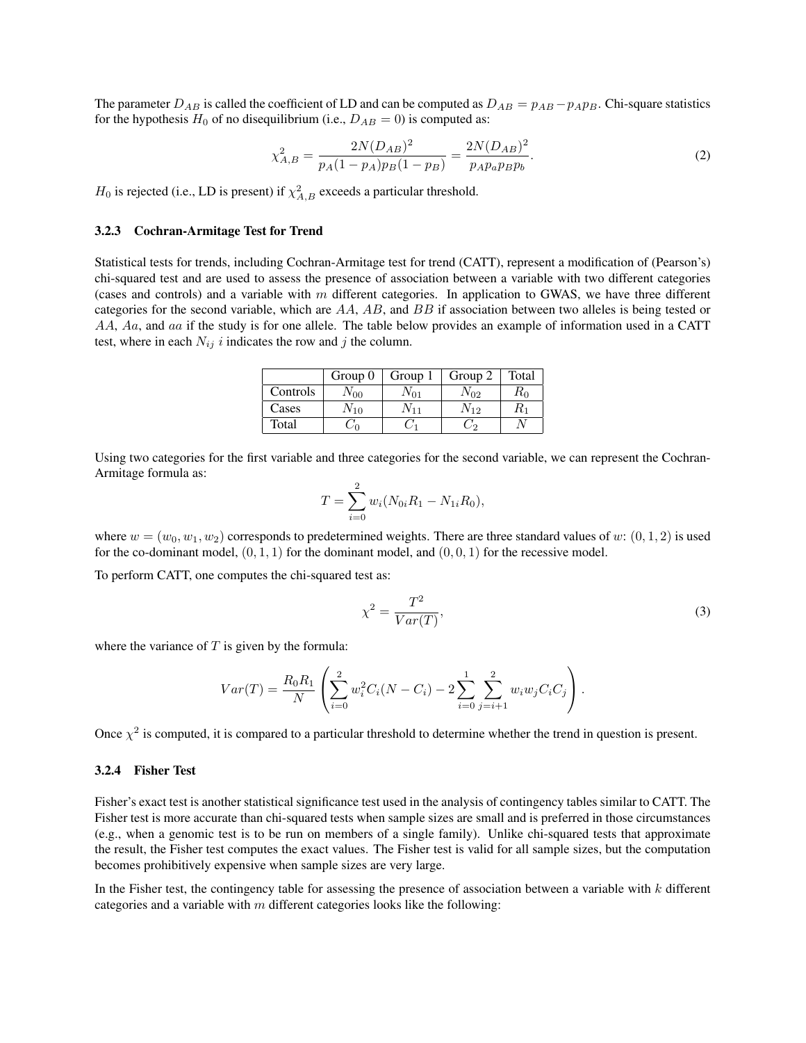The parameter  $D_{AB}$  is called the coefficient of LD and can be computed as  $D_{AB} = p_{AB} - p_{AB}$ . Chi-square statistics for the hypothesis  $H_0$  of no disequilibrium (i.e.,  $D_{AB} = 0$ ) is computed as:

<span id="page-4-0"></span>
$$
\chi_{A,B}^2 = \frac{2N(D_{AB})^2}{p_A(1 - p_A)p_B(1 - p_B)} = \frac{2N(D_{AB})^2}{p_A p_a p_B p_b}.
$$
\n(2)

 $H_0$  is rejected (i.e., LD is present) if  $\chi^2_{A,B}$  exceeds a particular threshold.

# <span id="page-4-1"></span>3.2.3 Cochran-Armitage Test for Trend

Statistical tests for trends, including Cochran-Armitage test for trend (CATT), represent a modification of (Pearson's) chi-squared test and are used to assess the presence of association between a variable with two different categories (cases and controls) and a variable with  $m$  different categories. In application to GWAS, we have three different categories for the second variable, which are  $AA$ ,  $AB$ , and  $BB$  if association between two alleles is being tested or AA, Aa, and aa if the study is for one allele. The table below provides an example of information used in a CATT test, where in each  $N_{ij}$  i indicates the row and j the column.

|          | Group $0$ | Group 1  | Group 2    | Total   |
|----------|-----------|----------|------------|---------|
| Controls | $N_{00}$  | $N_{01}$ | $N_{02}$   | $R_{0}$ |
| Cases    | $N_{10}$  | $N_{11}$ | $N_{12}$   | K1      |
| Total    |           |          | $\sqrt{2}$ |         |

Using two categories for the first variable and three categories for the second variable, we can represent the Cochran-Armitage formula as:

$$
T = \sum_{i=0}^{2} w_i (N_{0i}R_1 - N_{1i}R_0),
$$

where  $w = (w_0, w_1, w_2)$  corresponds to predetermined weights. There are three standard values of w:  $(0, 1, 2)$  is used for the co-dominant model,  $(0, 1, 1)$  for the dominant model, and  $(0, 0, 1)$  for the recessive model.

To perform CATT, one computes the chi-squared test as:

<span id="page-4-2"></span>
$$
\chi^2 = \frac{T^2}{Var(T)},\tag{3}
$$

where the variance of  $T$  is given by the formula:

$$
Var(T) = \frac{R_0 R_1}{N} \left( \sum_{i=0}^{2} w_i^2 C_i (N - C_i) - 2 \sum_{i=0}^{1} \sum_{j=i+1}^{2} w_i w_j C_i C_j \right).
$$

Once  $\chi^2$  is computed, it is compared to a particular threshold to determine whether the trend in question is present.

#### 3.2.4 Fisher Test

Fisher's exact test is another statistical significance test used in the analysis of contingency tables similar to CATT. The Fisher test is more accurate than chi-squared tests when sample sizes are small and is preferred in those circumstances (e.g., when a genomic test is to be run on members of a single family). Unlike chi-squared tests that approximate the result, the Fisher test computes the exact values. The Fisher test is valid for all sample sizes, but the computation becomes prohibitively expensive when sample sizes are very large.

In the Fisher test, the contingency table for assessing the presence of association between a variable with  $k$  different categories and a variable with  $m$  different categories looks like the following: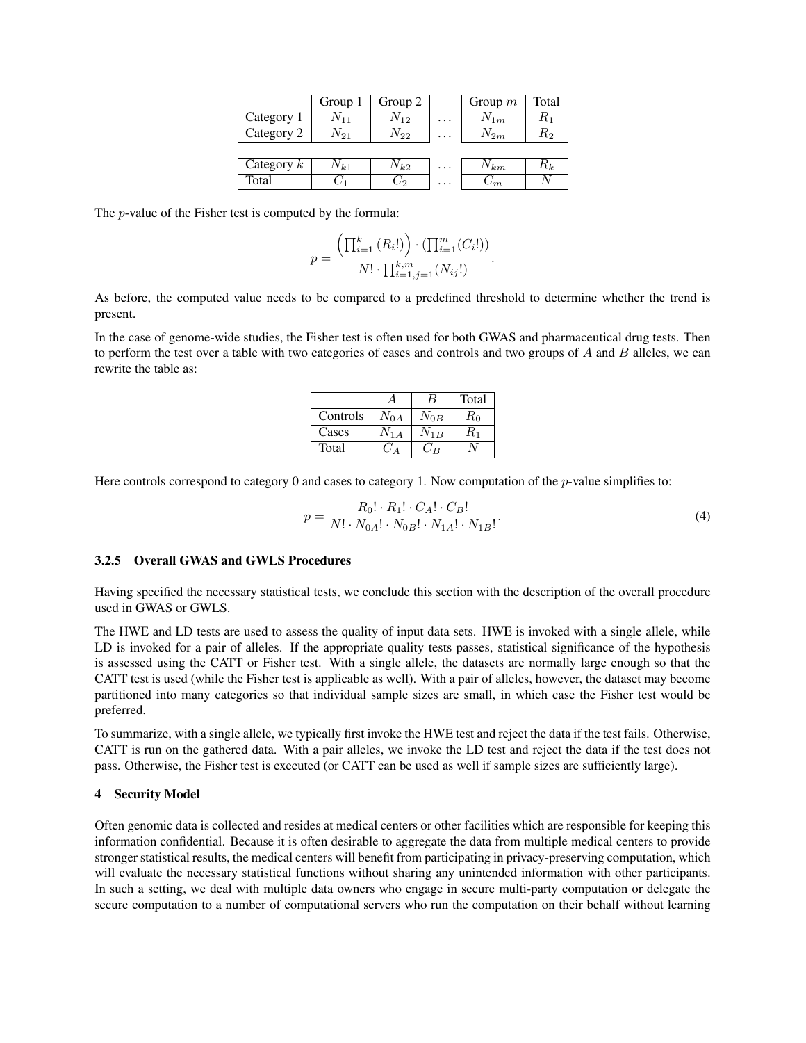|              | Group 1  | Group 2  |          | Group $m$  | Total   |
|--------------|----------|----------|----------|------------|---------|
| Category 1   | $V_{11}$ | $N_{12}$ | .        | $N_{1m}$   | $R_{1}$ |
| Category 2   | $N_{21}$ | $N_{22}$ | .        | $N_{2m}$   | $R_{2}$ |
|              |          |          |          |            |         |
| Category $k$ | $N_{k1}$ | $N_{k2}$ | $\cdots$ | $N_{km}$   | $R_k$   |
| Total        |          |          | $\cdots$ | $\sqrt{m}$ |         |

The p-value of the Fisher test is computed by the formula:

$$
p = \frac{\left(\prod_{i=1}^{k} (R_i!) \right) \cdot \left(\prod_{i=1}^{m} (C_i!) \right)}{N! \cdot \prod_{i=1, j=1}^{k, m} (N_{ij}!)}.
$$

As before, the computed value needs to be compared to a predefined threshold to determine whether the trend is present.

In the case of genome-wide studies, the Fisher test is often used for both GWAS and pharmaceutical drug tests. Then to perform the test over a table with two categories of cases and controls and two groups of  $A$  and  $B$  alleles, we can rewrite the table as:

<span id="page-5-0"></span>

|          |          | В                    | Total           |
|----------|----------|----------------------|-----------------|
| Controls | $V_{0A}$ | $\mathrm{V_{0}}_{B}$ | $R_{0}$         |
| Cases    |          | $V_{1B}$             | $\mathcal{R}_1$ |
| Total    |          | ĴΒ                   |                 |

Here controls correspond to category 0 and cases to category 1. Now computation of the *p*-value simplifies to:

$$
p = \frac{R_0! \cdot R_1! \cdot C_A! \cdot C_B!}{N! \cdot N_{0A}! \cdot N_{0B}! \cdot N_{1A}! \cdot N_{1B}!}.
$$
\n(4)

# 3.2.5 Overall GWAS and GWLS Procedures

Having specified the necessary statistical tests, we conclude this section with the description of the overall procedure used in GWAS or GWLS.

The HWE and LD tests are used to assess the quality of input data sets. HWE is invoked with a single allele, while LD is invoked for a pair of alleles. If the appropriate quality tests passes, statistical significance of the hypothesis is assessed using the CATT or Fisher test. With a single allele, the datasets are normally large enough so that the CATT test is used (while the Fisher test is applicable as well). With a pair of alleles, however, the dataset may become partitioned into many categories so that individual sample sizes are small, in which case the Fisher test would be preferred.

To summarize, with a single allele, we typically first invoke the HWE test and reject the data if the test fails. Otherwise, CATT is run on the gathered data. With a pair alleles, we invoke the LD test and reject the data if the test does not pass. Otherwise, the Fisher test is executed (or CATT can be used as well if sample sizes are sufficiently large).

#### 4 Security Model

Often genomic data is collected and resides at medical centers or other facilities which are responsible for keeping this information confidential. Because it is often desirable to aggregate the data from multiple medical centers to provide stronger statistical results, the medical centers will benefit from participating in privacy-preserving computation, which will evaluate the necessary statistical functions without sharing any unintended information with other participants. In such a setting, we deal with multiple data owners who engage in secure multi-party computation or delegate the secure computation to a number of computational servers who run the computation on their behalf without learning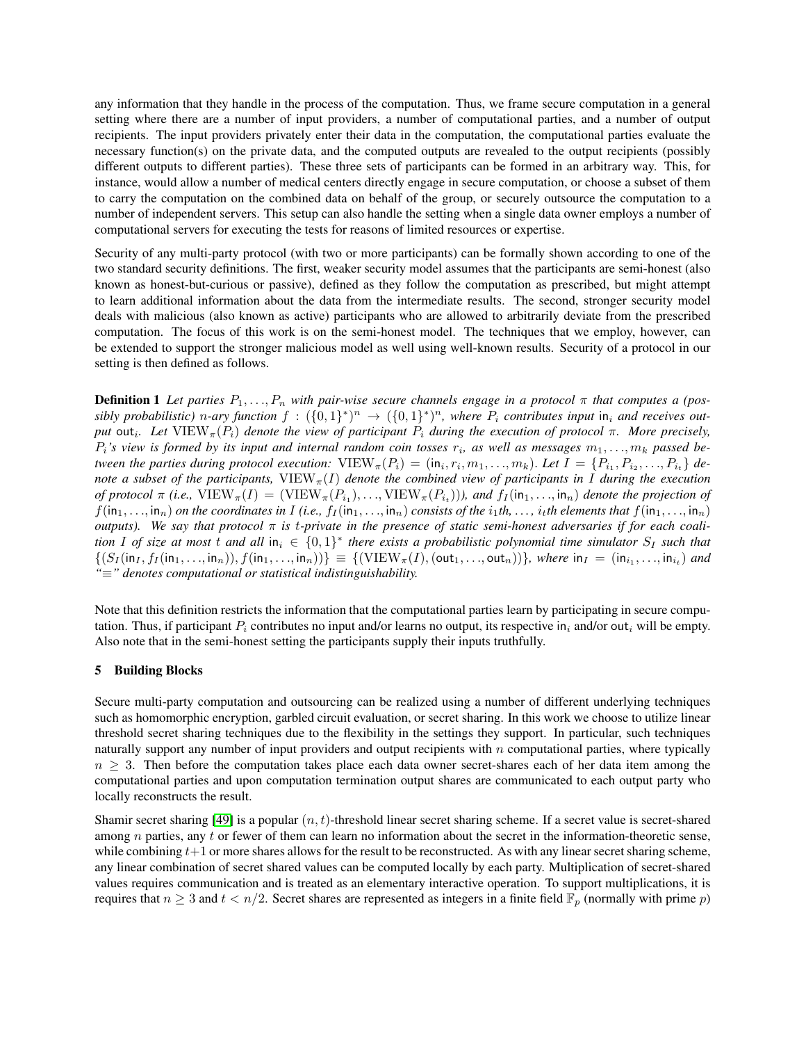any information that they handle in the process of the computation. Thus, we frame secure computation in a general setting where there are a number of input providers, a number of computational parties, and a number of output recipients. The input providers privately enter their data in the computation, the computational parties evaluate the necessary function(s) on the private data, and the computed outputs are revealed to the output recipients (possibly different outputs to different parties). These three sets of participants can be formed in an arbitrary way. This, for instance, would allow a number of medical centers directly engage in secure computation, or choose a subset of them to carry the computation on the combined data on behalf of the group, or securely outsource the computation to a number of independent servers. This setup can also handle the setting when a single data owner employs a number of computational servers for executing the tests for reasons of limited resources or expertise.

Security of any multi-party protocol (with two or more participants) can be formally shown according to one of the two standard security definitions. The first, weaker security model assumes that the participants are semi-honest (also known as honest-but-curious or passive), defined as they follow the computation as prescribed, but might attempt to learn additional information about the data from the intermediate results. The second, stronger security model deals with malicious (also known as active) participants who are allowed to arbitrarily deviate from the prescribed computation. The focus of this work is on the semi-honest model. The techniques that we employ, however, can be extended to support the stronger malicious model as well using well-known results. Security of a protocol in our setting is then defined as follows.

<span id="page-6-1"></span>**Definition 1** Let parties  $P_1, \ldots, P_n$  with pair-wise secure channels engage in a protocol  $\pi$  that computes a (possibly probabilistic) n-ary function  $f: (\{0,1\}^*)^n \to (\{0,1\}^*)^n$ , where  $P_i$  contributes input in<sub>i</sub> and receives out*put* out<sub>i</sub>. Let  $VIEW_{\pi}(P_i)$  *denote the view of participant*  $P_i$  *during the execution of protocol* π. More precisely,  $P_i$ 's view is formed by its input and internal random coin tosses  $r_i$ , as well as messages  $m_1, \ldots, m_k$  passed be*tween the parties during protocol execution:*  $\text{VIEW}_{\pi}(P_i) = (\text{in}_i, r_i, m_1, \ldots, m_k)$ . Let  $I = \{P_{i_1}, P_{i_2}, \ldots, P_{i_t}\}$  de*note a subset of the participants,*  $VIEW_{\pi}(I)$  *denote the combined view of participants in* I *during the execution of protocol*  $\pi$  (*i.e.,*  $\text{VIEW}_{\pi}(I) = (\text{VIEW}_{\pi}(P_{i_1}), ..., \text{VIEW}_{\pi}(P_{i_t})))$ *, and*  $f_I(\text{in}_1, ..., \text{in}_n)$  *denote the projection of*  $f(in_1,...,in_n)$  *on the coordinates in*  $I$  *(i.e.,*  $f_I(in_1,...,in_n)$  *consists of the*  $i_1th,...,i_t$ *th elements that*  $f(in_1,...,in_n)$ *outputs*). We say that protocol  $\pi$  is t-private in the presence of static semi-honest adversaries if for each coali*tion* I of size at most t and all  $in_i \in \{0,1\}^*$  there exists a probabilistic polynomial time simulator  $S_I$  such that  $\{(S_I(\mathsf{in}_I, f_I(\mathsf{in}_1, \ldots, \mathsf{in}_n)), f(\mathsf{in}_1, \ldots, \mathsf{in}_n))\} \equiv \{(\mathrm{VIEW}_{\pi}(I), (\mathsf{out}_1, \ldots, \mathsf{out}_n))\}, \text{ where } \mathsf{in}_I = (\mathsf{in}_{i_1}, \ldots, \mathsf{in}_{i_t}) \text{ and } \mathsf{out}_{I \in \mathcal{I}}\}$ *"*≡*" denotes computational or statistical indistinguishability.*

Note that this definition restricts the information that the computational parties learn by participating in secure computation. Thus, if participant  $P_i$  contributes no input and/or learns no output, its respective in<sub>i</sub> and/or out<sub>i</sub> will be empty. Also note that in the semi-honest setting the participants supply their inputs truthfully.

# <span id="page-6-0"></span>5 Building Blocks

Secure multi-party computation and outsourcing can be realized using a number of different underlying techniques such as homomorphic encryption, garbled circuit evaluation, or secret sharing. In this work we choose to utilize linear threshold secret sharing techniques due to the flexibility in the settings they support. In particular, such techniques naturally support any number of input providers and output recipients with  $n$  computational parties, where typically  $n \geq 3$ . Then before the computation takes place each data owner secret-shares each of her data item among the computational parties and upon computation termination output shares are communicated to each output party who locally reconstructs the result.

Shamir secret sharing [\[49\]](#page-15-14) is a popular  $(n, t)$ -threshold linear secret sharing scheme. If a secret value is secret-shared among  $n$  parties, any  $t$  or fewer of them can learn no information about the secret in the information-theoretic sense, while combining  $t+1$  or more shares allows for the result to be reconstructed. As with any linear secret sharing scheme, any linear combination of secret shared values can be computed locally by each party. Multiplication of secret-shared values requires communication and is treated as an elementary interactive operation. To support multiplications, it is requires that  $n \geq 3$  and  $t < n/2$ . Secret shares are represented as integers in a finite field  $\mathbb{F}_p$  (normally with prime p)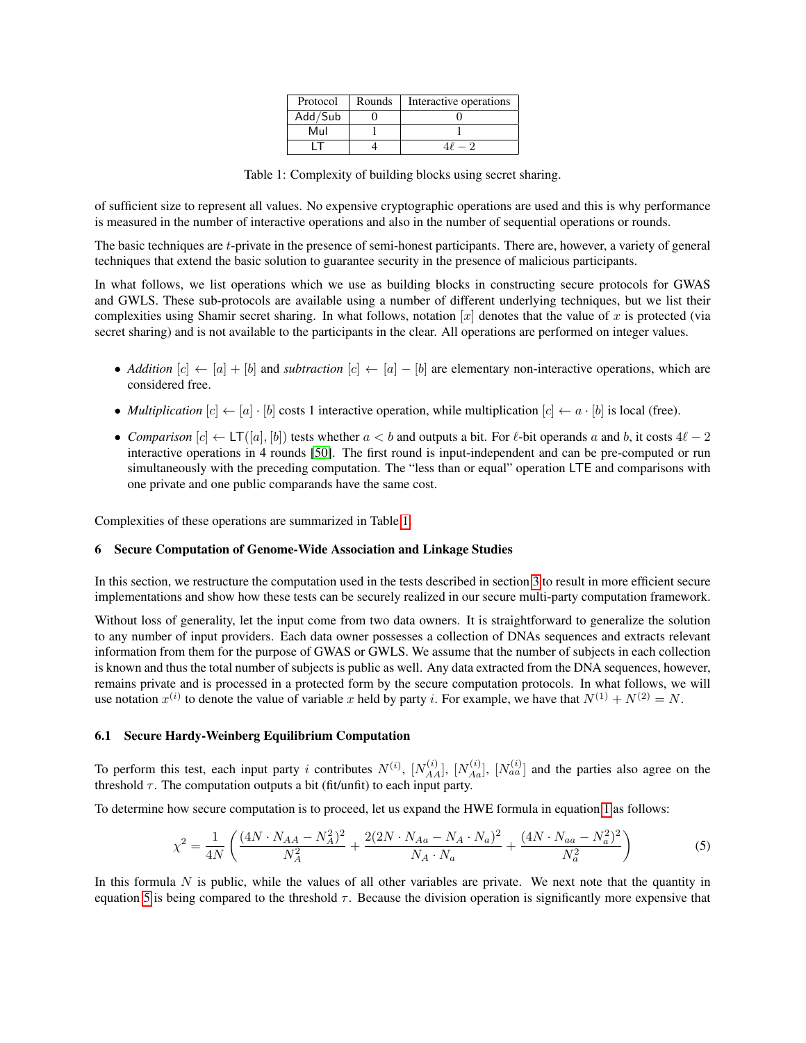| Protocol                               | Rounds | Interactive operations |
|----------------------------------------|--------|------------------------|
| Add $\overline{\smash{/\mathsf{Sub}}}$ |        |                        |
| Mul                                    |        |                        |
|                                        |        |                        |

Table 1: Complexity of building blocks using secret sharing.

<span id="page-7-0"></span>of sufficient size to represent all values. No expensive cryptographic operations are used and this is why performance is measured in the number of interactive operations and also in the number of sequential operations or rounds.

The basic techniques are t-private in the presence of semi-honest participants. There are, however, a variety of general techniques that extend the basic solution to guarantee security in the presence of malicious participants.

In what follows, we list operations which we use as building blocks in constructing secure protocols for GWAS and GWLS. These sub-protocols are available using a number of different underlying techniques, but we list their complexities using Shamir secret sharing. In what follows, notation  $[x]$  denotes that the value of x is protected (via secret sharing) and is not available to the participants in the clear. All operations are performed on integer values.

- *Addition* [c] ← [a] + [b] and *subtraction* [c] ← [a] − [b] are elementary non-interactive operations, which are considered free.
- *Multiplication*  $[c] \leftarrow [a] \cdot [b]$  costs 1 interactive operation, while multiplication  $[c] \leftarrow a \cdot [b]$  is local (free).
- *Comparison*  $[c] \leftarrow LT([a], [b])$  tests whether  $a < b$  and outputs a bit. For  $\ell$ -bit operands a and b, it costs  $4\ell 2$ interactive operations in 4 rounds [\[50\]](#page-15-15). The first round is input-independent and can be pre-computed or run simultaneously with the preceding computation. The "less than or equal" operation LTE and comparisons with one private and one public comparands have the same cost.

Complexities of these operations are summarized in Table [1.](#page-7-0)

# 6 Secure Computation of Genome-Wide Association and Linkage Studies

In this section, we restructure the computation used in the tests described in section [3](#page-2-0) to result in more efficient secure implementations and show how these tests can be securely realized in our secure multi-party computation framework.

Without loss of generality, let the input come from two data owners. It is straightforward to generalize the solution to any number of input providers. Each data owner possesses a collection of DNAs sequences and extracts relevant information from them for the purpose of GWAS or GWLS. We assume that the number of subjects in each collection is known and thus the total number of subjects is public as well. Any data extracted from the DNA sequences, however, remains private and is processed in a protected form by the secure computation protocols. In what follows, we will use notation  $x^{(i)}$  to denote the value of variable x held by party i. For example, we have that  $N^{(1)} + N^{(2)} = N$ .

# 6.1 Secure Hardy-Weinberg Equilibrium Computation

To perform this test, each input party i contributes  $N^{(i)}$ ,  $[N_{AA}^{(i)}]$ ,  $[N_{Aa}^{(i)}]$ ,  $[N_{aa}^{(i)}]$  and the parties also agree on the threshold  $\tau$ . The computation outputs a bit (fit/unfit) to each input party.

To determine how secure computation is to proceed, let us expand the HWE formula in equation [1](#page-3-0) as follows:

<span id="page-7-1"></span>
$$
\chi^2 = \frac{1}{4N} \left( \frac{(4N \cdot N_{AA} - N_A^2)^2}{N_A^2} + \frac{2(2N \cdot N_{Aa} - N_A \cdot N_a)^2}{N_A \cdot N_a} + \frac{(4N \cdot N_{aa} - N_a^2)^2}{N_a^2} \right) \tag{5}
$$

In this formula  $N$  is public, while the values of all other variables are private. We next note that the quantity in equation [5](#page-7-1) is being compared to the threshold  $\tau$ . Because the division operation is significantly more expensive that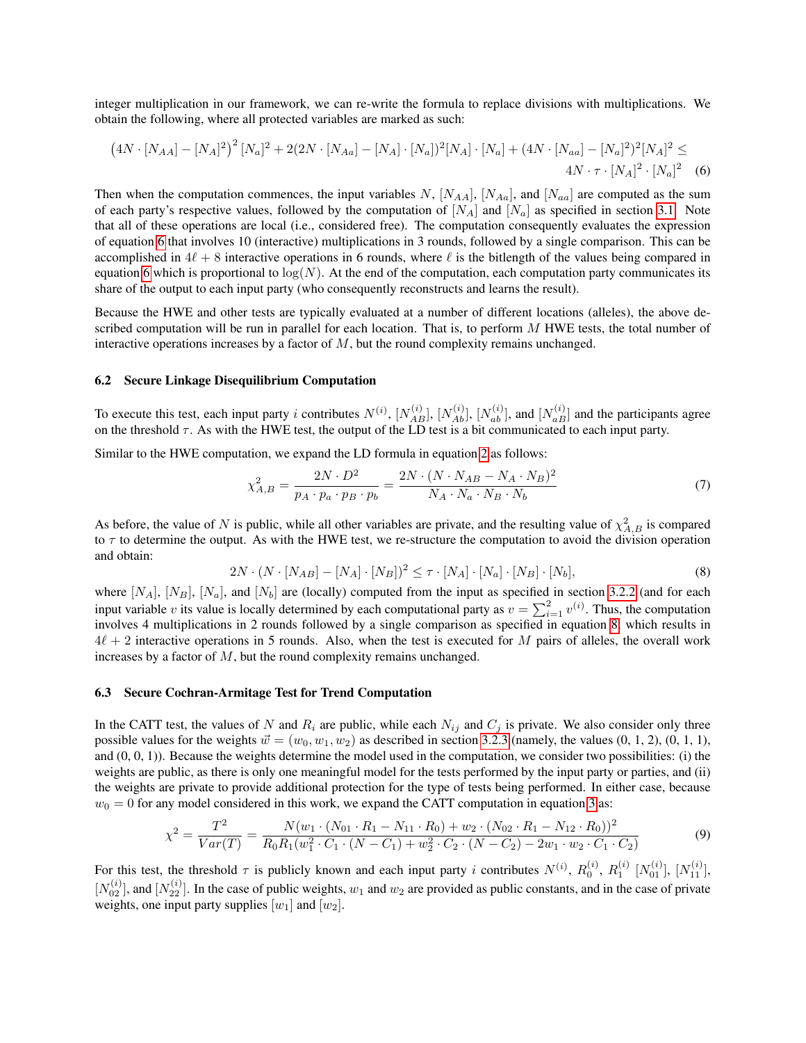integer multiplication in our framework, we can re-write the formula to replace divisions with multiplications. We obtain the following, where all protected variables are marked as such:

$$
(4N \cdot [N_{AA}] - [N_A]^2)^2 [N_a]^2 + 2(2N \cdot [N_{Aa}] - [N_A] \cdot [N_a])^2 [N_A] \cdot [N_a] + (4N \cdot [N_{aa}] - [N_a]^2)^2 [N_A]^2 \le 4N \cdot \tau \cdot [N_A]^2 \cdot [N_a]^2 \quad (6)
$$

Then when the computation commences, the input variables N,  $[N_{AA}]$ ,  $[N_{Aa}]$ , and  $[N_{aa}]$  are computed as the sum of each party's respective values, followed by the computation of  $[N_A]$  and  $[N_a]$  as specified in section [3.1.](#page-2-1) Note that all of these operations are local (i.e., considered free). The computation consequently evaluates the expression of equation [6](#page-8-0) that involves 10 (interactive) multiplications in 3 rounds, followed by a single comparison. This can be accomplished in  $4\ell + 8$  interactive operations in 6 rounds, where  $\ell$  is the bitlength of the values being compared in equation [6](#page-8-0) which is proportional to  $log(N)$ . At the end of the computation, each computation party communicates its share of the output to each input party (who consequently reconstructs and learns the result).

Because the HWE and other tests are typically evaluated at a number of different locations (alleles), the above described computation will be run in parallel for each location. That is, to perform  $M$  HWE tests, the total number of interactive operations increases by a factor of  $M$ , but the round complexity remains unchanged.

#### 6.2 Secure Linkage Disequilibrium Computation

To execute this test, each input party i contributes  $N^{(i)}$ ,  $[N_{AB}^{(i)}], [N_{Ab}^{(i)}], [N_{ab}^{(i)}]$ , and  $[N_{aB}^{(i)}]$  and the participants agree on the threshold  $\tau$ . As with the HWE test, the output of the LD test is a bit communicated to each input party.

Similar to the HWE computation, we expand the LD formula in equation [2](#page-4-0) as follows:

<span id="page-8-0"></span>
$$
\chi_{A,B}^2 = \frac{2N \cdot D^2}{p_A \cdot p_a \cdot p_B \cdot p_b} = \frac{2N \cdot (N \cdot N_{AB} - N_A \cdot N_B)^2}{N_A \cdot N_a \cdot N_B \cdot N_b} \tag{7}
$$

<span id="page-8-1"></span>As before, the value of N is public, while all other variables are private, and the resulting value of  $\chi^2_{A,B}$  is compared to  $\tau$  to determine the output. As with the HWE test, we re-structure the computation to avoid the division operation and obtain:

$$
2N \cdot (N \cdot [N_{AB}] - [N_A] \cdot [N_B])^2 \le \tau \cdot [N_A] \cdot [N_a] \cdot [N_B] \cdot [N_b],\tag{8}
$$

where  $[N_A]$ ,  $[N_B]$ ,  $[N_a]$ , and  $[N_b]$  are (locally) computed from the input as specified in section [3.2.2](#page-3-1) (and for each input variable v its value is locally determined by each computational party as  $v = \sum_{i=1}^{2} v^{(i)}$ . Thus, the computation involves 4 multiplications in 2 rounds followed by a single comparison as specified in equation [8,](#page-8-1) which results in  $4\ell + 2$  interactive operations in 5 rounds. Also, when the test is executed for M pairs of alleles, the overall work increases by a factor of  $M$ , but the round complexity remains unchanged.

### 6.3 Secure Cochran-Armitage Test for Trend Computation

In the CATT test, the values of N and  $R_i$  are public, while each  $N_{ij}$  and  $C_j$  is private. We also consider only three possible values for the weights  $\vec{w} = (w_0, w_1, w_2)$  as described in section [3.2.3](#page-4-1) (namely, the values (0, 1, 2), (0, 1, 1), and  $(0, 0, 1)$ ). Because the weights determine the model used in the computation, we consider two possibilities: (i) the weights are public, as there is only one meaningful model for the tests performed by the input party or parties, and (ii) the weights are private to provide additional protection for the type of tests being performed. In either case, because  $w_0 = 0$  for any model considered in this work, we expand the CATT computation in equation [3](#page-4-2) as:

$$
\chi^2 = \frac{T^2}{Var(T)} = \frac{N(w_1 \cdot (N_{01} \cdot R_1 - N_{11} \cdot R_0) + w_2 \cdot (N_{02} \cdot R_1 - N_{12} \cdot R_0))^2}{R_0 R_1(w_1^2 \cdot C_1 \cdot (N - C_1) + w_2^2 \cdot C_2 \cdot (N - C_2) - 2w_1 \cdot w_2 \cdot C_1 \cdot C_2)}
$$
(9)

For this test, the threshold  $\tau$  is publicly known and each input party i contributes  $N^{(i)}$ ,  $R_0^{(i)}$ ,  $R_1^{(i)}$   $[N_{01}^{(i)}]$ ,  $[N_{11}^{(i)}]$ ,  $[N_{02}^{(i)}]$ , and  $[N_{22}^{(i)}]$ . In the case of public weights,  $w_1$  and  $w_2$  are provided as public constants, and in the case of private weights, one input party supplies  $[w_1]$  and  $[w_2]$ .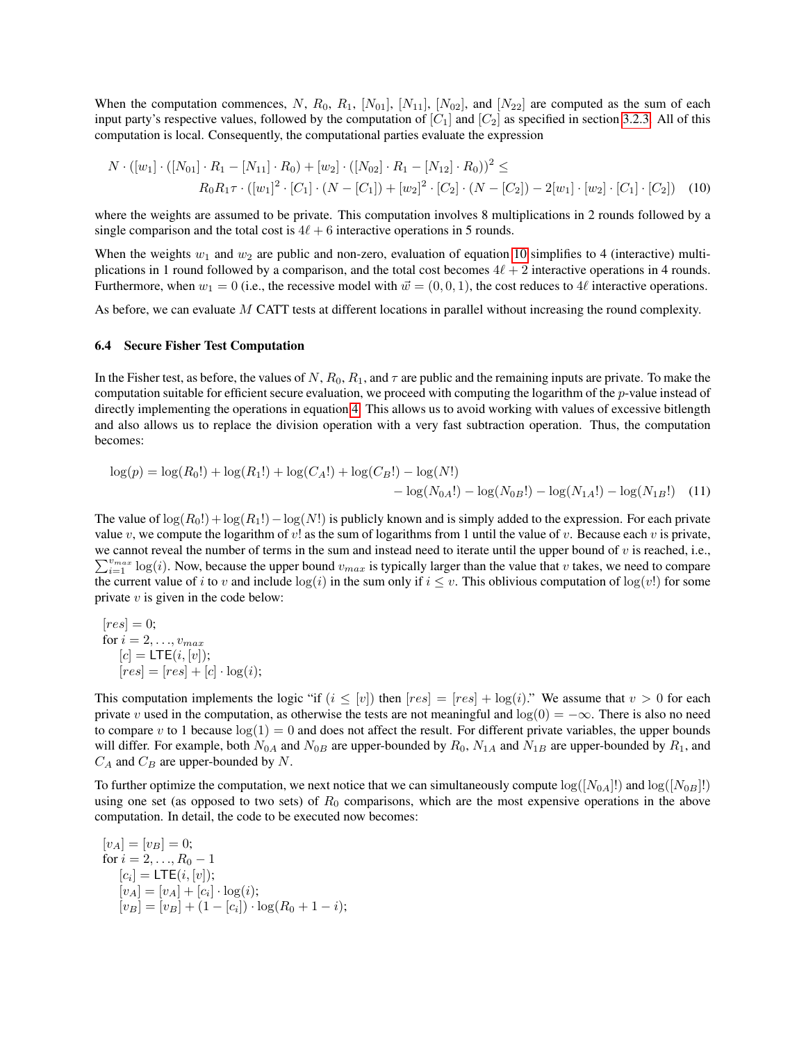When the computation commences, N,  $R_0$ ,  $R_1$ ,  $[N_{01}]$ ,  $[N_{11}]$ ,  $[N_{02}]$ , and  $[N_{22}]$  are computed as the sum of each input party's respective values, followed by the computation of  $[C_1]$  and  $[C_2]$  as specified in section [3.2.3.](#page-4-1) All of this computation is local. Consequently, the computational parties evaluate the expression

<span id="page-9-0"></span>
$$
N \cdot ([w_1] \cdot ([N_{01}] \cdot R_1 - [N_{11}] \cdot R_0) + [w_2] \cdot ([N_{02}] \cdot R_1 - [N_{12}] \cdot R_0))^2 \le
$$
  
\n
$$
R_0 R_1 \tau \cdot ([w_1]^2 \cdot [C_1] \cdot (N - [C_1]) + [w_2]^2 \cdot [C_2] \cdot (N - [C_2]) - 2[w_1] \cdot [w_2] \cdot [C_1] \cdot [C_2]) \tag{10}
$$

where the weights are assumed to be private. This computation involves 8 multiplications in 2 rounds followed by a single comparison and the total cost is  $4\ell + 6$  interactive operations in 5 rounds.

When the weights  $w_1$  and  $w_2$  are public and non-zero, evaluation of equation [10](#page-9-0) simplifies to 4 (interactive) multiplications in 1 round followed by a comparison, and the total cost becomes  $4\ell + 2$  interactive operations in 4 rounds. Furthermore, when  $w_1 = 0$  (i.e., the recessive model with  $\vec{w} = (0, 0, 1)$ , the cost reduces to 4 $\ell$  interactive operations.

As before, we can evaluate M CATT tests at different locations in parallel without increasing the round complexity.

### <span id="page-9-2"></span>6.4 Secure Fisher Test Computation

In the Fisher test, as before, the values of N,  $R_0$ ,  $R_1$ , and  $\tau$  are public and the remaining inputs are private. To make the computation suitable for efficient secure evaluation, we proceed with computing the logarithm of the  $p$ -value instead of directly implementing the operations in equation [4.](#page-5-0) This allows us to avoid working with values of excessive bitlength and also allows us to replace the division operation with a very fast subtraction operation. Thus, the computation becomes:

<span id="page-9-1"></span>
$$
log(p) = log(R_0!) + log(R_1!) + log(C_A!) + log(C_B!) - log(N!)
$$
  
- log(N<sub>0A</sub>!) - log(N<sub>0B</sub>!) - log(N<sub>1A</sub>!) - log(N<sub>1B</sub>!) (11)

The value of  $\log(R_0!) + \log(R_1!) - \log(N!)$  is publicly known and is simply added to the expression. For each private value v, we compute the logarithm of v! as the sum of logarithms from 1 until the value of v. Because each v is private, we cannot reveal the number of terms in the sum and instead need to iterate until the upper bound of  $v$  is reached, i.e.,  $\sum_{i=1}^{v_{max}} \log(i)$ . Now, because the upper bound  $v_{max}$  is typically larger than the value that v takes, we need to compare the current value of i to v and include  $log(i)$  in the sum only if  $i \leq v$ . This oblivious computation of  $log(v!)$  for some private  $v$  is given in the code below:

$$
[res] = 0;
$$
  
for  $i = 2, ..., v_{max}$   

$$
[c] = \text{LTE}(i, [v]);
$$
  

$$
[res] = [res] + [c] \cdot \log(i);
$$

This computation implements the logic "if  $(i \leq [v])$  then  $[res] = [res] + \log(i)$ ." We assume that  $v > 0$  for each private v used in the computation, as otherwise the tests are not meaningful and  $log(0) = -\infty$ . There is also no need to compare v to 1 because  $log(1) = 0$  and does not affect the result. For different private variables, the upper bounds will differ. For example, both  $N_{0A}$  and  $N_{0B}$  are upper-bounded by  $R_0$ ,  $N_{1A}$  and  $N_{1B}$  are upper-bounded by  $R_1$ , and  $C_A$  and  $C_B$  are upper-bounded by N.

To further optimize the computation, we next notice that we can simultaneously compute  $log([N_{0A}])$  and  $log([N_{0B}]!)$ using one set (as opposed to two sets) of  $R_0$  comparisons, which are the most expensive operations in the above computation. In detail, the code to be executed now becomes:

$$
[v_A] = [v_B] = 0;
$$
  
for  $i = 2, ..., R_0 - 1$   

$$
[c_i] = \text{LTE}(i, [v]);
$$
  

$$
[v_A] = [v_A] + [c_i] \cdot \log(i);
$$
  

$$
[v_B] = [v_B] + (1 - [c_i]) \cdot \log(R_0 + 1 - i);
$$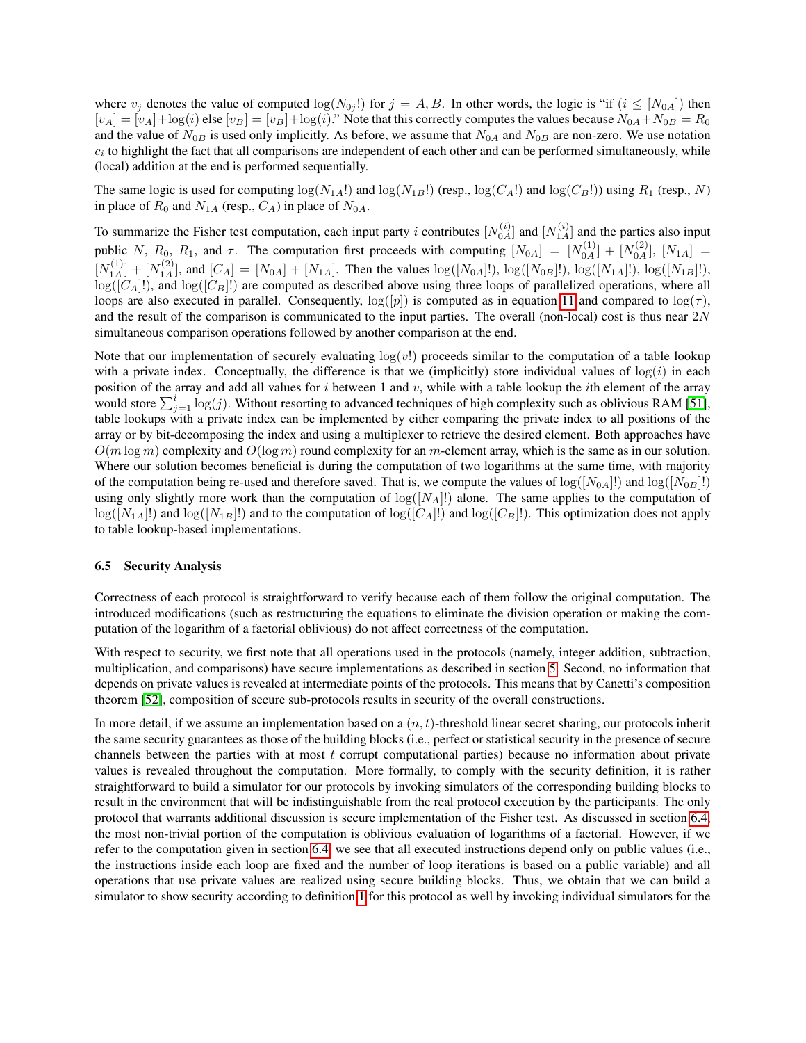where  $v_j$  denotes the value of computed  $\log(N_{0j}!)$  for  $j = A, B$ . In other words, the logic is "if  $(i \leq [N_{0A}])$  then  $[v_A] = [v_A] + \log(i)$  else  $[v_B] = [v_B] + \log(i)$ ." Note that this correctly computes the values because  $N_{0A} + N_{0B} = R_0$ and the value of  $N_{0B}$  is used only implicitly. As before, we assume that  $N_{0A}$  and  $N_{0B}$  are non-zero. We use notation  $c_i$  to highlight the fact that all comparisons are independent of each other and can be performed simultaneously, while (local) addition at the end is performed sequentially.

The same logic is used for computing  $\log(N_{1A}!)$  and  $\log(N_{1B}!)$  (resp.,  $\log(C_A!)$ ) and  $\log(C_B!)$ ) using  $R_1$  (resp., N) in place of  $R_0$  and  $N_{1A}$  (resp.,  $C_A$ ) in place of  $N_{0A}$ .

To summarize the Fisher test computation, each input party i contributes  $[N_{0A}^{(i)}]$  and  $[N_{1A}^{(i)}]$  and the parties also input public N,  $R_0$ ,  $R_1$ , and  $\tau$ . The computation first proceeds with computing  $[N_{0A}] = [N_{0A}^{(1)}] + [N_{0A}^{(2)}]$ ,  $[N_{1A}] =$  $[N_{1A}^{(1)}]+[N_{1A}^{(2)}]$ , and  $[C_A]=[N_{0A}]+[N_{1A}]$ . Then the values  $log([N_{0A}]!)$ ,  $log([N_{0B}]!)$ ,  $log([N_{1A}]!)$ ,  $log([N_{1B}]!)$ ,  $log([C_A]!)$ , and  $log([C_B]!)$  are computed as described above using three loops of parallelized operations, where all loops are also executed in parallel. Consequently,  $log([p])$  is computed as in equation [11](#page-9-1) and compared to  $log(\tau)$ , and the result of the comparison is communicated to the input parties. The overall (non-local) cost is thus near  $2N$ simultaneous comparison operations followed by another comparison at the end.

Note that our implementation of securely evaluating  $log(v!)$  proceeds similar to the computation of a table lookup with a private index. Conceptually, the difference is that we (implicitly) store individual values of  $log(i)$  in each position of the array and add all values for  $i$  between 1 and  $v$ , while with a table lookup the  $i$ th element of the array would store  $\sum_{j=1}^{i} \log(j)$ . Without resorting to advanced techniques of high complexity such as oblivious RAM [\[51\]](#page-15-16), table lookups with a private index can be implemented by either comparing the private index to all positions of the array or by bit-decomposing the index and using a multiplexer to retrieve the desired element. Both approaches have  $O(m \log m)$  complexity and  $O(\log m)$  round complexity for an m-element array, which is the same as in our solution. Where our solution becomes beneficial is during the computation of two logarithms at the same time, with majority of the computation being re-used and therefore saved. That is, we compute the values of  $log([N_{0A}])$  and  $log([N_{0B}]!)$ using only slightly more work than the computation of  $log([N_A]!)$  alone. The same applies to the computation of  $log([N_{1A}]!)$  and  $log([N_{1B}]!)$  and to the computation of  $log([C_A]!)$  and  $log([C_B]!)$ . This optimization does not apply to table lookup-based implementations.

# 6.5 Security Analysis

Correctness of each protocol is straightforward to verify because each of them follow the original computation. The introduced modifications (such as restructuring the equations to eliminate the division operation or making the computation of the logarithm of a factorial oblivious) do not affect correctness of the computation.

With respect to security, we first note that all operations used in the protocols (namely, integer addition, subtraction, multiplication, and comparisons) have secure implementations as described in section [5.](#page-6-0) Second, no information that depends on private values is revealed at intermediate points of the protocols. This means that by Canetti's composition theorem [\[52\]](#page-15-17), composition of secure sub-protocols results in security of the overall constructions.

In more detail, if we assume an implementation based on a  $(n, t)$ -threshold linear secret sharing, our protocols inherit the same security guarantees as those of the building blocks (i.e., perfect or statistical security in the presence of secure channels between the parties with at most  $t$  corrupt computational parties) because no information about private values is revealed throughout the computation. More formally, to comply with the security definition, it is rather straightforward to build a simulator for our protocols by invoking simulators of the corresponding building blocks to result in the environment that will be indistinguishable from the real protocol execution by the participants. The only protocol that warrants additional discussion is secure implementation of the Fisher test. As discussed in section [6.4,](#page-9-2) the most non-trivial portion of the computation is oblivious evaluation of logarithms of a factorial. However, if we refer to the computation given in section [6.4,](#page-9-2) we see that all executed instructions depend only on public values (i.e., the instructions inside each loop are fixed and the number of loop iterations is based on a public variable) and all operations that use private values are realized using secure building blocks. Thus, we obtain that we can build a simulator to show security according to definition [1](#page-6-1) for this protocol as well by invoking individual simulators for the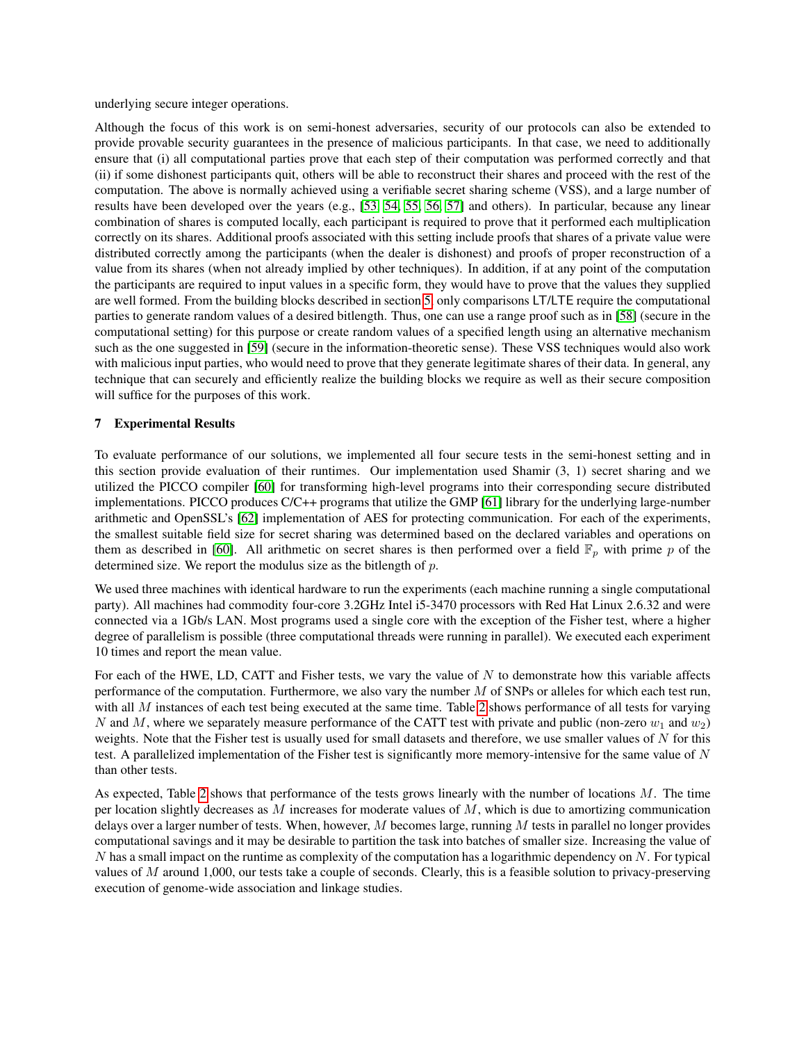underlying secure integer operations.

Although the focus of this work is on semi-honest adversaries, security of our protocols can also be extended to provide provable security guarantees in the presence of malicious participants. In that case, we need to additionally ensure that (i) all computational parties prove that each step of their computation was performed correctly and that (ii) if some dishonest participants quit, others will be able to reconstruct their shares and proceed with the rest of the computation. The above is normally achieved using a verifiable secret sharing scheme (VSS), and a large number of results have been developed over the years (e.g., [\[53,](#page-15-18) [54,](#page-15-19) [55,](#page-16-0) [56,](#page-16-1) [57\]](#page-16-2) and others). In particular, because any linear combination of shares is computed locally, each participant is required to prove that it performed each multiplication correctly on its shares. Additional proofs associated with this setting include proofs that shares of a private value were distributed correctly among the participants (when the dealer is dishonest) and proofs of proper reconstruction of a value from its shares (when not already implied by other techniques). In addition, if at any point of the computation the participants are required to input values in a specific form, they would have to prove that the values they supplied are well formed. From the building blocks described in section [5,](#page-6-0) only comparisons LT/LTE require the computational parties to generate random values of a desired bitlength. Thus, one can use a range proof such as in [\[58\]](#page-16-3) (secure in the computational setting) for this purpose or create random values of a specified length using an alternative mechanism such as the one suggested in [\[59\]](#page-16-4) (secure in the information-theoretic sense). These VSS techniques would also work with malicious input parties, who would need to prove that they generate legitimate shares of their data. In general, any technique that can securely and efficiently realize the building blocks we require as well as their secure composition will suffice for the purposes of this work.

# <span id="page-11-0"></span>7 Experimental Results

To evaluate performance of our solutions, we implemented all four secure tests in the semi-honest setting and in this section provide evaluation of their runtimes. Our implementation used Shamir (3, 1) secret sharing and we utilized the PICCO compiler [\[60\]](#page-16-5) for transforming high-level programs into their corresponding secure distributed implementations. PICCO produces C/C++ programs that utilize the GMP [\[61\]](#page-16-6) library for the underlying large-number arithmetic and OpenSSL's [\[62\]](#page-16-7) implementation of AES for protecting communication. For each of the experiments, the smallest suitable field size for secret sharing was determined based on the declared variables and operations on them as described in [\[60\]](#page-16-5). All arithmetic on secret shares is then performed over a field  $\mathbb{F}_p$  with prime p of the determined size. We report the modulus size as the bitlength of p.

We used three machines with identical hardware to run the experiments (each machine running a single computational party). All machines had commodity four-core 3.2GHz Intel i5-3470 processors with Red Hat Linux 2.6.32 and were connected via a 1Gb/s LAN. Most programs used a single core with the exception of the Fisher test, where a higher degree of parallelism is possible (three computational threads were running in parallel). We executed each experiment 10 times and report the mean value.

For each of the HWE, LD, CATT and Fisher tests, we vary the value of  $N$  to demonstrate how this variable affects performance of the computation. Furthermore, we also vary the number  $M$  of SNPs or alleles for which each test run, with all M instances of each test being executed at the same time. Table [2](#page-12-0) shows performance of all tests for varying N and M, where we separately measure performance of the CATT test with private and public (non-zero  $w_1$  and  $w_2$ ) weights. Note that the Fisher test is usually used for small datasets and therefore, we use smaller values of  $N$  for this test. A parallelized implementation of the Fisher test is significantly more memory-intensive for the same value of N than other tests.

As expected, Table [2](#page-12-0) shows that performance of the tests grows linearly with the number of locations M. The time per location slightly decreases as  $M$  increases for moderate values of  $M$ , which is due to amortizing communication delays over a larger number of tests. When, however,  $M$  becomes large, running  $M$  tests in parallel no longer provides computational savings and it may be desirable to partition the task into batches of smaller size. Increasing the value of  $N$  has a small impact on the runtime as complexity of the computation has a logarithmic dependency on  $N$ . For typical values of  $M$  around 1,000, our tests take a couple of seconds. Clearly, this is a feasible solution to privacy-preserving execution of genome-wide association and linkage studies.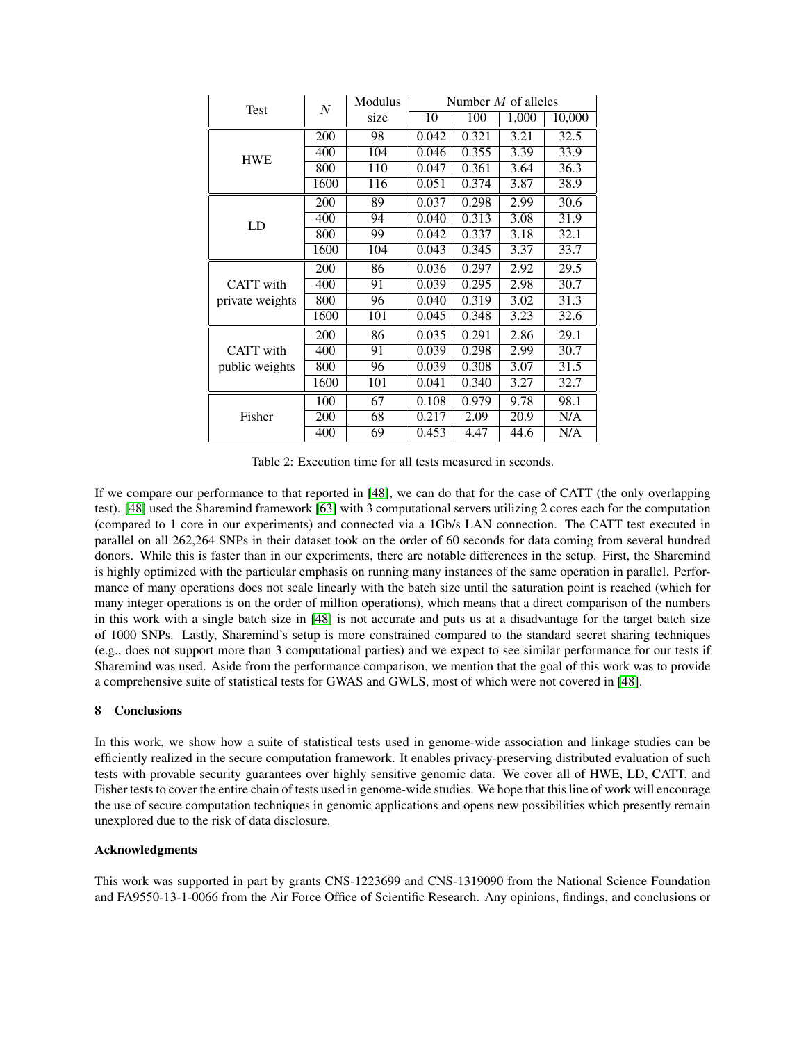<span id="page-12-0"></span>

| Test             | N    | Modulus | Number $M$ of alleles |       |       |        |
|------------------|------|---------|-----------------------|-------|-------|--------|
|                  |      | size    | 10                    | 100   | 1,000 | 10,000 |
| <b>HWE</b>       | 200  | 98      | 0.042                 | 0.321 | 3.21  | 32.5   |
|                  | 400  | 104     | 0.046                 | 0.355 | 3.39  | 33.9   |
|                  | 800  | 110     | 0.047                 | 0.361 | 3.64  | 36.3   |
|                  | 1600 | 116     | 0.051                 | 0.374 | 3.87  | 38.9   |
|                  | 200  | 89      | 0.037                 | 0.298 | 2.99  | 30.6   |
| LD               | 400  | 94      | 0.040                 | 0.313 | 3.08  | 31.9   |
|                  | 800  | 99      | 0.042                 | 0.337 | 3.18  | 32.1   |
|                  | 1600 | 104     | 0.043                 | 0.345 | 3.37  | 33.7   |
|                  | 200  | 86      | 0.036                 | 0.297 | 2.92  | 29.5   |
| <b>CATT</b> with | 400  | 91      | 0.039                 | 0.295 | 2.98  | 30.7   |
| private weights  | 800  | 96      | 0.040                 | 0.319 | 3.02  | 31.3   |
|                  | 1600 | 101     | 0.045                 | 0.348 | 3.23  | 32.6   |
|                  | 200  | 86      | 0.035                 | 0.291 | 2.86  | 29.1   |
| <b>CATT</b> with | 400  | 91      | 0.039                 | 0.298 | 2.99  | 30.7   |
| public weights   | 800  | 96      | 0.039                 | 0.308 | 3.07  | 31.5   |
|                  | 1600 | 101     | 0.041                 | 0.340 | 3.27  | 32.7   |
| Fisher           | 100  | 67      | 0.108                 | 0.979 | 9.78  | 98.1   |
|                  | 200  | 68      | 0.217                 | 2.09  | 20.9  | N/A    |
|                  | 400  | 69      | 0.453                 | 4.47  | 44.6  | N/A    |

Table 2: Execution time for all tests measured in seconds.

If we compare our performance to that reported in [\[48\]](#page-15-13), we can do that for the case of CATT (the only overlapping test). [\[48\]](#page-15-13) used the Sharemind framework [\[63\]](#page-16-8) with 3 computational servers utilizing 2 cores each for the computation (compared to 1 core in our experiments) and connected via a 1Gb/s LAN connection. The CATT test executed in parallel on all 262,264 SNPs in their dataset took on the order of 60 seconds for data coming from several hundred donors. While this is faster than in our experiments, there are notable differences in the setup. First, the Sharemind is highly optimized with the particular emphasis on running many instances of the same operation in parallel. Performance of many operations does not scale linearly with the batch size until the saturation point is reached (which for many integer operations is on the order of million operations), which means that a direct comparison of the numbers in this work with a single batch size in [\[48\]](#page-15-13) is not accurate and puts us at a disadvantage for the target batch size of 1000 SNPs. Lastly, Sharemind's setup is more constrained compared to the standard secret sharing techniques (e.g., does not support more than 3 computational parties) and we expect to see similar performance for our tests if Sharemind was used. Aside from the performance comparison, we mention that the goal of this work was to provide a comprehensive suite of statistical tests for GWAS and GWLS, most of which were not covered in [\[48\]](#page-15-13).

# 8 Conclusions

In this work, we show how a suite of statistical tests used in genome-wide association and linkage studies can be efficiently realized in the secure computation framework. It enables privacy-preserving distributed evaluation of such tests with provable security guarantees over highly sensitive genomic data. We cover all of HWE, LD, CATT, and Fisher tests to cover the entire chain of tests used in genome-wide studies. We hope that this line of work will encourage the use of secure computation techniques in genomic applications and opens new possibilities which presently remain unexplored due to the risk of data disclosure.

# Acknowledgments

This work was supported in part by grants CNS-1223699 and CNS-1319090 from the National Science Foundation and FA9550-13-1-0066 from the Air Force Office of Scientific Research. Any opinions, findings, and conclusions or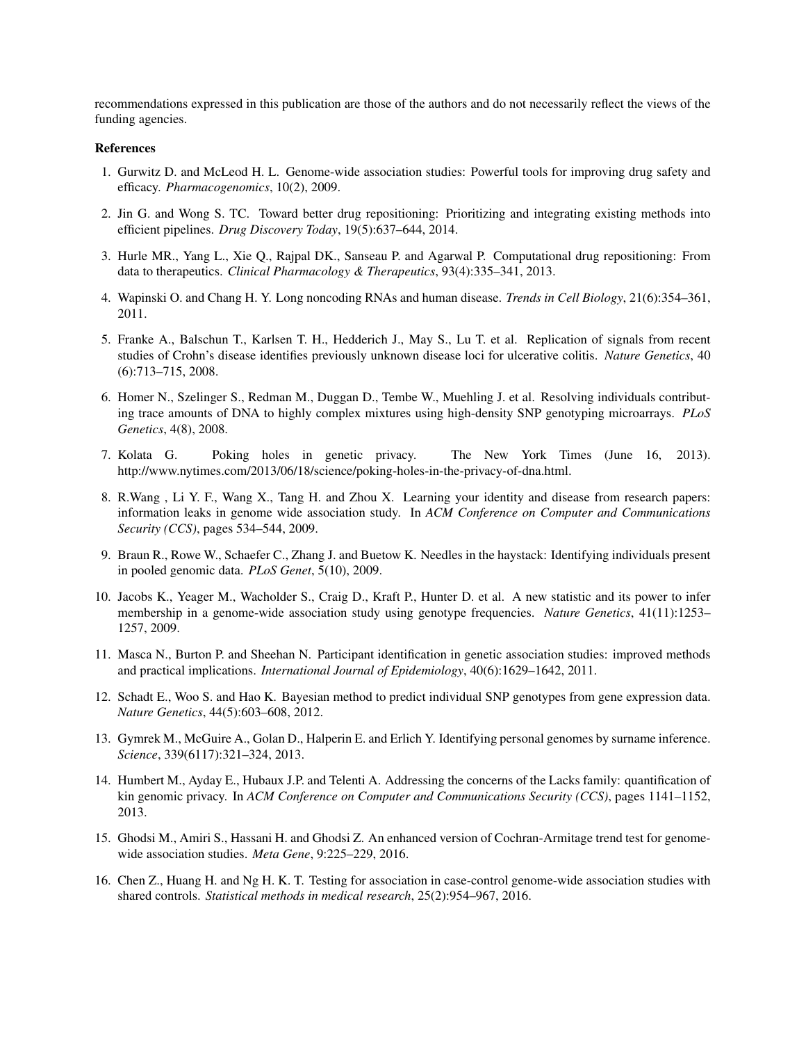recommendations expressed in this publication are those of the authors and do not necessarily reflect the views of the funding agencies.

#### References

- <span id="page-13-0"></span>1. Gurwitz D. and McLeod H. L. Genome-wide association studies: Powerful tools for improving drug safety and efficacy. *Pharmacogenomics*, 10(2), 2009.
- <span id="page-13-1"></span>2. Jin G. and Wong S. TC. Toward better drug repositioning: Prioritizing and integrating existing methods into efficient pipelines. *Drug Discovery Today*, 19(5):637–644, 2014.
- <span id="page-13-2"></span>3. Hurle MR., Yang L., Xie Q., Rajpal DK., Sanseau P. and Agarwal P. Computational drug repositioning: From data to therapeutics. *Clinical Pharmacology & Therapeutics*, 93(4):335–341, 2013.
- <span id="page-13-3"></span>4. Wapinski O. and Chang H. Y. Long noncoding RNAs and human disease. *Trends in Cell Biology*, 21(6):354–361, 2011.
- <span id="page-13-4"></span>5. Franke A., Balschun T., Karlsen T. H., Hedderich J., May S., Lu T. et al. Replication of signals from recent studies of Crohn's disease identifies previously unknown disease loci for ulcerative colitis. *Nature Genetics*, 40 (6):713–715, 2008.
- <span id="page-13-5"></span>6. Homer N., Szelinger S., Redman M., Duggan D., Tembe W., Muehling J. et al. Resolving individuals contributing trace amounts of DNA to highly complex mixtures using high-density SNP genotyping microarrays. *PLoS Genetics*, 4(8), 2008.
- <span id="page-13-6"></span>7. Kolata G. Poking holes in genetic privacy. The New York Times (June 16, 2013). http://www.nytimes.com/2013/06/18/science/poking-holes-in-the-privacy-of-dna.html.
- <span id="page-13-7"></span>8. R.Wang , Li Y. F., Wang X., Tang H. and Zhou X. Learning your identity and disease from research papers: information leaks in genome wide association study. In *ACM Conference on Computer and Communications Security (CCS)*, pages 534–544, 2009.
- <span id="page-13-8"></span>9. Braun R., Rowe W., Schaefer C., Zhang J. and Buetow K. Needles in the haystack: Identifying individuals present in pooled genomic data. *PLoS Genet*, 5(10), 2009.
- <span id="page-13-9"></span>10. Jacobs K., Yeager M., Wacholder S., Craig D., Kraft P., Hunter D. et al. A new statistic and its power to infer membership in a genome-wide association study using genotype frequencies. *Nature Genetics*, 41(11):1253– 1257, 2009.
- <span id="page-13-10"></span>11. Masca N., Burton P. and Sheehan N. Participant identification in genetic association studies: improved methods and practical implications. *International Journal of Epidemiology*, 40(6):1629–1642, 2011.
- <span id="page-13-11"></span>12. Schadt E., Woo S. and Hao K. Bayesian method to predict individual SNP genotypes from gene expression data. *Nature Genetics*, 44(5):603–608, 2012.
- <span id="page-13-12"></span>13. Gymrek M., McGuire A., Golan D., Halperin E. and Erlich Y. Identifying personal genomes by surname inference. *Science*, 339(6117):321–324, 2013.
- <span id="page-13-13"></span>14. Humbert M., Ayday E., Hubaux J.P. and Telenti A. Addressing the concerns of the Lacks family: quantification of kin genomic privacy. In *ACM Conference on Computer and Communications Security (CCS)*, pages 1141–1152, 2013.
- <span id="page-13-14"></span>15. Ghodsi M., Amiri S., Hassani H. and Ghodsi Z. An enhanced version of Cochran-Armitage trend test for genomewide association studies. *Meta Gene*, 9:225–229, 2016.
- <span id="page-13-15"></span>16. Chen Z., Huang H. and Ng H. K. T. Testing for association in case-control genome-wide association studies with shared controls. *Statistical methods in medical research*, 25(2):954–967, 2016.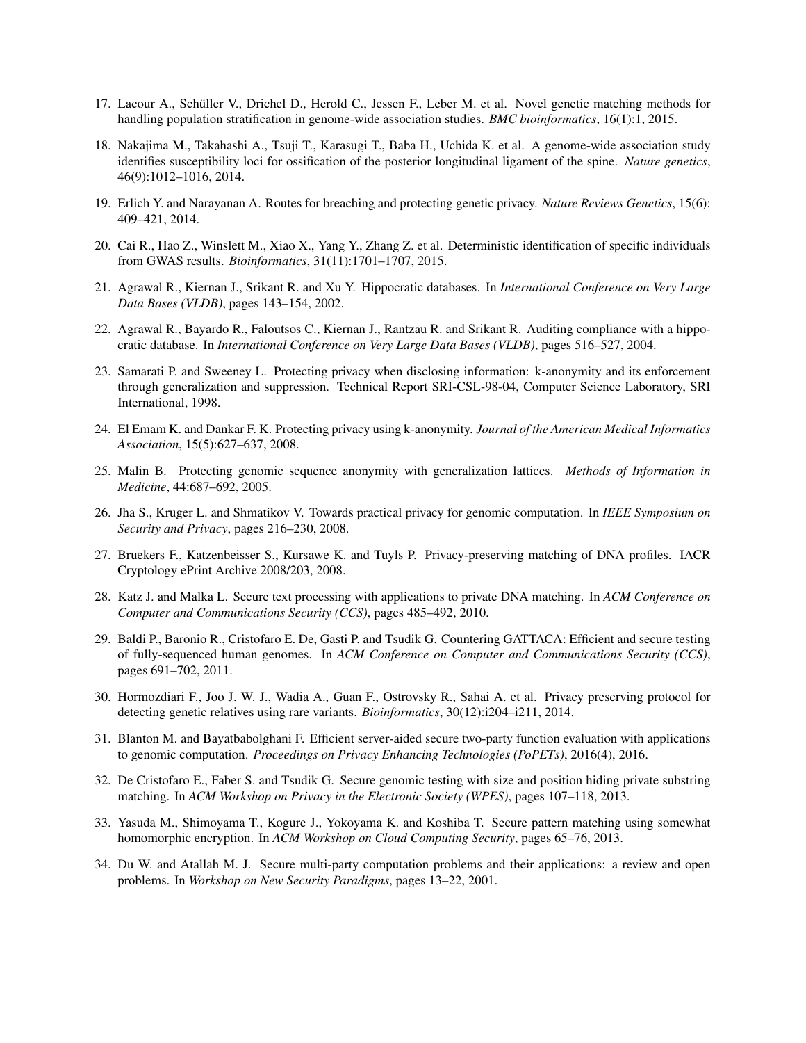- <span id="page-14-0"></span>17. Lacour A., Schuller V., Drichel D., Herold C., Jessen F., Leber M. et al. Novel genetic matching methods for ¨ handling population stratification in genome-wide association studies. *BMC bioinformatics*, 16(1):1, 2015.
- <span id="page-14-1"></span>18. Nakajima M., Takahashi A., Tsuji T., Karasugi T., Baba H., Uchida K. et al. A genome-wide association study identifies susceptibility loci for ossification of the posterior longitudinal ligament of the spine. *Nature genetics*, 46(9):1012–1016, 2014.
- <span id="page-14-2"></span>19. Erlich Y. and Narayanan A. Routes for breaching and protecting genetic privacy. *Nature Reviews Genetics*, 15(6): 409–421, 2014.
- <span id="page-14-3"></span>20. Cai R., Hao Z., Winslett M., Xiao X., Yang Y., Zhang Z. et al. Deterministic identification of specific individuals from GWAS results. *Bioinformatics*, 31(11):1701–1707, 2015.
- <span id="page-14-4"></span>21. Agrawal R., Kiernan J., Srikant R. and Xu Y. Hippocratic databases. In *International Conference on Very Large Data Bases (VLDB)*, pages 143–154, 2002.
- <span id="page-14-5"></span>22. Agrawal R., Bayardo R., Faloutsos C., Kiernan J., Rantzau R. and Srikant R. Auditing compliance with a hippocratic database. In *International Conference on Very Large Data Bases (VLDB)*, pages 516–527, 2004.
- <span id="page-14-6"></span>23. Samarati P. and Sweeney L. Protecting privacy when disclosing information: k-anonymity and its enforcement through generalization and suppression. Technical Report SRI-CSL-98-04, Computer Science Laboratory, SRI International, 1998.
- <span id="page-14-7"></span>24. El Emam K. and Dankar F. K. Protecting privacy using k-anonymity. *Journal of the American Medical Informatics Association*, 15(5):627–637, 2008.
- <span id="page-14-8"></span>25. Malin B. Protecting genomic sequence anonymity with generalization lattices. *Methods of Information in Medicine*, 44:687–692, 2005.
- <span id="page-14-9"></span>26. Jha S., Kruger L. and Shmatikov V. Towards practical privacy for genomic computation. In *IEEE Symposium on Security and Privacy*, pages 216–230, 2008.
- <span id="page-14-10"></span>27. Bruekers F., Katzenbeisser S., Kursawe K. and Tuyls P. Privacy-preserving matching of DNA profiles. IACR Cryptology ePrint Archive 2008/203, 2008.
- <span id="page-14-11"></span>28. Katz J. and Malka L. Secure text processing with applications to private DNA matching. In *ACM Conference on Computer and Communications Security (CCS)*, pages 485–492, 2010.
- <span id="page-14-12"></span>29. Baldi P., Baronio R., Cristofaro E. De, Gasti P. and Tsudik G. Countering GATTACA: Efficient and secure testing of fully-sequenced human genomes. In *ACM Conference on Computer and Communications Security (CCS)*, pages 691–702, 2011.
- <span id="page-14-13"></span>30. Hormozdiari F., Joo J. W. J., Wadia A., Guan F., Ostrovsky R., Sahai A. et al. Privacy preserving protocol for detecting genetic relatives using rare variants. *Bioinformatics*, 30(12):i204–i211, 2014.
- <span id="page-14-14"></span>31. Blanton M. and Bayatbabolghani F. Efficient server-aided secure two-party function evaluation with applications to genomic computation. *Proceedings on Privacy Enhancing Technologies (PoPETs)*, 2016(4), 2016.
- <span id="page-14-15"></span>32. De Cristofaro E., Faber S. and Tsudik G. Secure genomic testing with size and position hiding private substring matching. In *ACM Workshop on Privacy in the Electronic Society (WPES)*, pages 107–118, 2013.
- <span id="page-14-16"></span>33. Yasuda M., Shimoyama T., Kogure J., Yokoyama K. and Koshiba T. Secure pattern matching using somewhat homomorphic encryption. In *ACM Workshop on Cloud Computing Security*, pages 65–76, 2013.
- <span id="page-14-17"></span>34. Du W. and Atallah M. J. Secure multi-party computation problems and their applications: a review and open problems. In *Workshop on New Security Paradigms*, pages 13–22, 2001.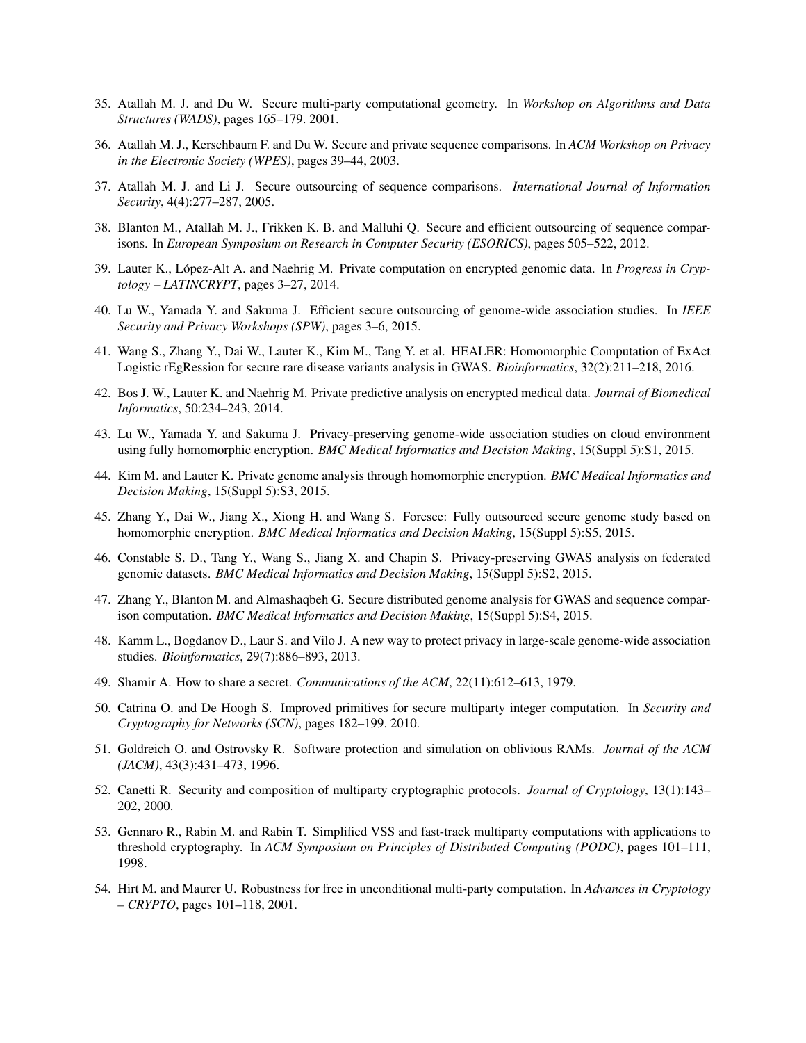- <span id="page-15-0"></span>35. Atallah M. J. and Du W. Secure multi-party computational geometry. In *Workshop on Algorithms and Data Structures (WADS)*, pages 165–179. 2001.
- <span id="page-15-1"></span>36. Atallah M. J., Kerschbaum F. and Du W. Secure and private sequence comparisons. In *ACM Workshop on Privacy in the Electronic Society (WPES)*, pages 39–44, 2003.
- <span id="page-15-2"></span>37. Atallah M. J. and Li J. Secure outsourcing of sequence comparisons. *International Journal of Information Security*, 4(4):277–287, 2005.
- <span id="page-15-3"></span>38. Blanton M., Atallah M. J., Frikken K. B. and Malluhi Q. Secure and efficient outsourcing of sequence comparisons. In *European Symposium on Research in Computer Security (ESORICS)*, pages 505–522, 2012.
- <span id="page-15-4"></span>39. Lauter K., Lopez-Alt A. and Naehrig M. Private computation on encrypted genomic data. In ´ *Progress in Cryptology – LATINCRYPT*, pages 3–27, 2014.
- <span id="page-15-5"></span>40. Lu W., Yamada Y. and Sakuma J. Efficient secure outsourcing of genome-wide association studies. In *IEEE Security and Privacy Workshops (SPW)*, pages 3–6, 2015.
- <span id="page-15-6"></span>41. Wang S., Zhang Y., Dai W., Lauter K., Kim M., Tang Y. et al. HEALER: Homomorphic Computation of ExAct Logistic rEgRession for secure rare disease variants analysis in GWAS. *Bioinformatics*, 32(2):211–218, 2016.
- <span id="page-15-7"></span>42. Bos J. W., Lauter K. and Naehrig M. Private predictive analysis on encrypted medical data. *Journal of Biomedical Informatics*, 50:234–243, 2014.
- <span id="page-15-8"></span>43. Lu W., Yamada Y. and Sakuma J. Privacy-preserving genome-wide association studies on cloud environment using fully homomorphic encryption. *BMC Medical Informatics and Decision Making*, 15(Suppl 5):S1, 2015.
- <span id="page-15-9"></span>44. Kim M. and Lauter K. Private genome analysis through homomorphic encryption. *BMC Medical Informatics and Decision Making*, 15(Suppl 5):S3, 2015.
- <span id="page-15-10"></span>45. Zhang Y., Dai W., Jiang X., Xiong H. and Wang S. Foresee: Fully outsourced secure genome study based on homomorphic encryption. *BMC Medical Informatics and Decision Making*, 15(Suppl 5):S5, 2015.
- <span id="page-15-11"></span>46. Constable S. D., Tang Y., Wang S., Jiang X. and Chapin S. Privacy-preserving GWAS analysis on federated genomic datasets. *BMC Medical Informatics and Decision Making*, 15(Suppl 5):S2, 2015.
- <span id="page-15-12"></span>47. Zhang Y., Blanton M. and Almashaqbeh G. Secure distributed genome analysis for GWAS and sequence comparison computation. *BMC Medical Informatics and Decision Making*, 15(Suppl 5):S4, 2015.
- <span id="page-15-13"></span>48. Kamm L., Bogdanov D., Laur S. and Vilo J. A new way to protect privacy in large-scale genome-wide association studies. *Bioinformatics*, 29(7):886–893, 2013.
- <span id="page-15-14"></span>49. Shamir A. How to share a secret. *Communications of the ACM*, 22(11):612–613, 1979.
- <span id="page-15-15"></span>50. Catrina O. and De Hoogh S. Improved primitives for secure multiparty integer computation. In *Security and Cryptography for Networks (SCN)*, pages 182–199. 2010.
- <span id="page-15-16"></span>51. Goldreich O. and Ostrovsky R. Software protection and simulation on oblivious RAMs. *Journal of the ACM (JACM)*, 43(3):431–473, 1996.
- <span id="page-15-17"></span>52. Canetti R. Security and composition of multiparty cryptographic protocols. *Journal of Cryptology*, 13(1):143– 202, 2000.
- <span id="page-15-18"></span>53. Gennaro R., Rabin M. and Rabin T. Simplified VSS and fast-track multiparty computations with applications to threshold cryptography. In *ACM Symposium on Principles of Distributed Computing (PODC)*, pages 101–111, 1998.
- <span id="page-15-19"></span>54. Hirt M. and Maurer U. Robustness for free in unconditional multi-party computation. In *Advances in Cryptology – CRYPTO*, pages 101–118, 2001.